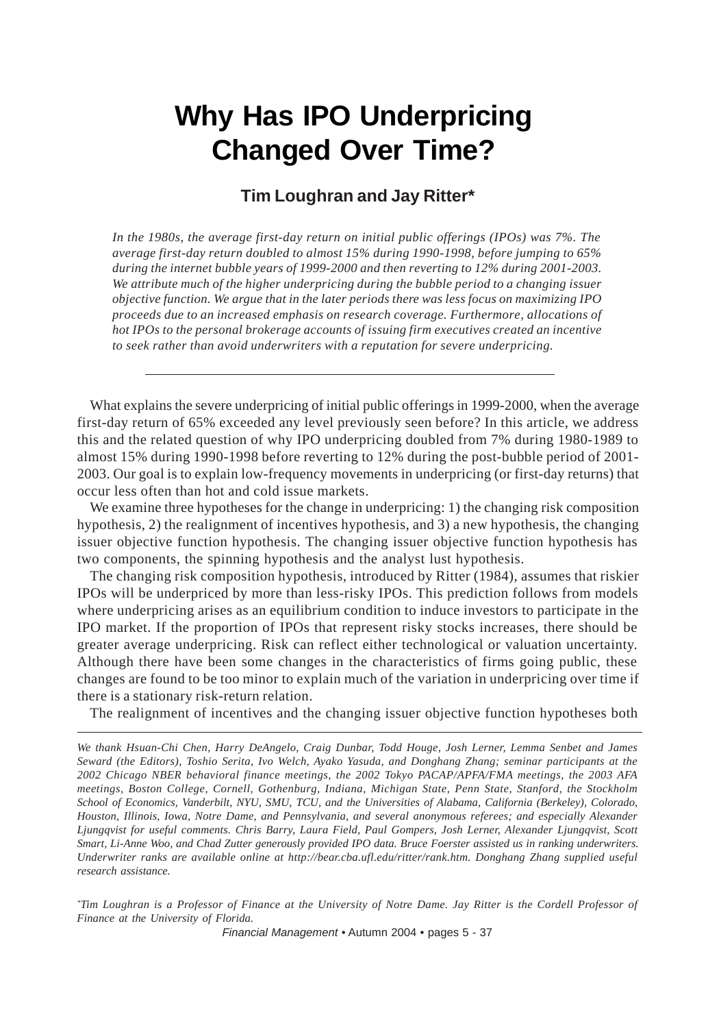# **Why Has IPO Underpricing Changed Over Time?**

# **Tim Loughran and Jay Ritter\***

*In the 1980s, the average first-day return on initial public offerings (IPOs) was 7%. The average first-day return doubled to almost 15% during 1990-1998, before jumping to 65% during the internet bubble years of 1999-2000 and then reverting to 12% during 2001-2003. We attribute much of the higher underpricing during the bubble period to a changing issuer objective function. We argue that in the later periods there was less focus on maximizing IPO proceeds due to an increased emphasis on research coverage. Furthermore, allocations of hot IPOs to the personal brokerage accounts of issuing firm executives created an incentive to seek rather than avoid underwriters with a reputation for severe underpricing.*

What explains the severe underpricing of initial public offerings in 1999-2000, when the average first-day return of 65% exceeded any level previously seen before? In this article, we address this and the related question of why IPO underpricing doubled from 7% during 1980-1989 to almost 15% during 1990-1998 before reverting to 12% during the post-bubble period of 2001- 2003. Our goal is to explain low-frequency movements in underpricing (or first-day returns) that occur less often than hot and cold issue markets.

We examine three hypotheses for the change in underpricing: 1) the changing risk composition hypothesis, 2) the realignment of incentives hypothesis, and 3) a new hypothesis, the changing issuer objective function hypothesis. The changing issuer objective function hypothesis has two components, the spinning hypothesis and the analyst lust hypothesis.

The changing risk composition hypothesis, introduced by Ritter (1984), assumes that riskier IPOs will be underpriced by more than less-risky IPOs. This prediction follows from models where underpricing arises as an equilibrium condition to induce investors to participate in the IPO market. If the proportion of IPOs that represent risky stocks increases, there should be greater average underpricing. Risk can reflect either technological or valuation uncertainty. Although there have been some changes in the characteristics of firms going public, these changes are found to be too minor to explain much of the variation in underpricing over time if there is a stationary risk-return relation.

The realignment of incentives and the changing issuer objective function hypotheses both

*\* Tim Loughran is a Professor of Finance at the University of Notre Dame. Jay Ritter is the Cordell Professor of Finance at the University of Florida.*

*Financial Management* • Autumn 2004 • pages 5 - 37

*We thank Hsuan-Chi Chen, Harry DeAngelo, Craig Dunbar, Todd Houge, Josh Lerner, Lemma Senbet and James Seward (the Editors), Toshio Serita, Ivo Welch, Ayako Yasuda, and Donghang Zhang; seminar participants at the 2002 Chicago NBER behavioral finance meetings, the 2002 Tokyo PACAP/APFA/FMA meetings, the 2003 AFA meetings, Boston College, Cornell, Gothenburg, Indiana, Michigan State, Penn State, Stanford, the Stockholm School of Economics, Vanderbilt, NYU, SMU, TCU, and the Universities of Alabama, California (Berkeley), Colorado, Houston, Illinois, Iowa, Notre Dame, and Pennsylvania, and several anonymous referees; and especially Alexander Ljungqvist for useful comments. Chris Barry, Laura Field, Paul Gompers, Josh Lerner, Alexander Ljungqvist, Scott Smart, Li-Anne Woo, and Chad Zutter generously provided IPO data. Bruce Foerster assisted us in ranking underwriters. Underwriter ranks are available online at http://bear.cba.ufl.edu/ritter/rank.htm. Donghang Zhang supplied useful research assistance.*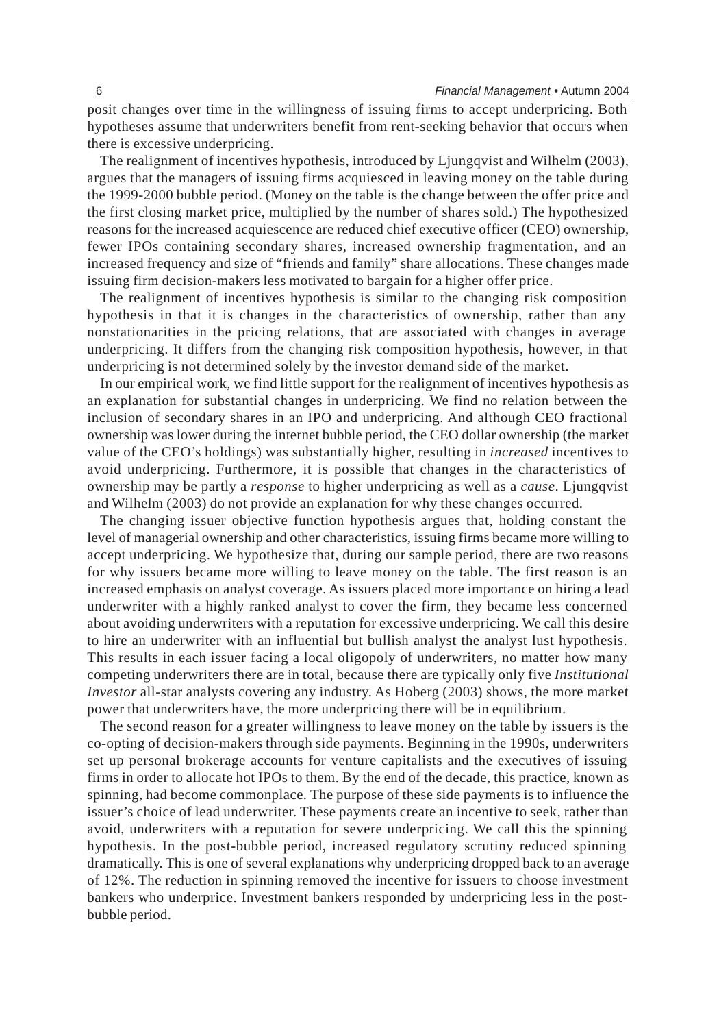posit changes over time in the willingness of issuing firms to accept underpricing. Both hypotheses assume that underwriters benefit from rent-seeking behavior that occurs when there is excessive underpricing.

The realignment of incentives hypothesis, introduced by Ljungqvist and Wilhelm (2003), argues that the managers of issuing firms acquiesced in leaving money on the table during the 1999-2000 bubble period. (Money on the table is the change between the offer price and the first closing market price, multiplied by the number of shares sold.) The hypothesized reasons for the increased acquiescence are reduced chief executive officer (CEO) ownership, fewer IPOs containing secondary shares, increased ownership fragmentation, and an increased frequency and size of "friends and family" share allocations. These changes made issuing firm decision-makers less motivated to bargain for a higher offer price.

The realignment of incentives hypothesis is similar to the changing risk composition hypothesis in that it is changes in the characteristics of ownership, rather than any nonstationarities in the pricing relations, that are associated with changes in average underpricing. It differs from the changing risk composition hypothesis, however, in that underpricing is not determined solely by the investor demand side of the market.

In our empirical work, we find little support for the realignment of incentives hypothesis as an explanation for substantial changes in underpricing. We find no relation between the inclusion of secondary shares in an IPO and underpricing. And although CEO fractional ownership was lower during the internet bubble period, the CEO dollar ownership (the market value of the CEO's holdings) was substantially higher, resulting in *increased* incentives to avoid underpricing. Furthermore, it is possible that changes in the characteristics of ownership may be partly a *response* to higher underpricing as well as a *cause*. Ljungqvist and Wilhelm (2003) do not provide an explanation for why these changes occurred.

The changing issuer objective function hypothesis argues that, holding constant the level of managerial ownership and other characteristics, issuing firms became more willing to accept underpricing. We hypothesize that, during our sample period, there are two reasons for why issuers became more willing to leave money on the table. The first reason is an increased emphasis on analyst coverage. As issuers placed more importance on hiring a lead underwriter with a highly ranked analyst to cover the firm, they became less concerned about avoiding underwriters with a reputation for excessive underpricing. We call this desire to hire an underwriter with an influential but bullish analyst the analyst lust hypothesis. This results in each issuer facing a local oligopoly of underwriters, no matter how many competing underwriters there are in total, because there are typically only five *Institutional Investor* all-star analysts covering any industry. As Hoberg (2003) shows, the more market power that underwriters have, the more underpricing there will be in equilibrium.

The second reason for a greater willingness to leave money on the table by issuers is the co-opting of decision-makers through side payments. Beginning in the 1990s, underwriters set up personal brokerage accounts for venture capitalists and the executives of issuing firms in order to allocate hot IPOs to them. By the end of the decade, this practice, known as spinning, had become commonplace. The purpose of these side payments is to influence the issuer's choice of lead underwriter. These payments create an incentive to seek, rather than avoid, underwriters with a reputation for severe underpricing. We call this the spinning hypothesis. In the post-bubble period, increased regulatory scrutiny reduced spinning dramatically. This is one of several explanations why underpricing dropped back to an average of 12%. The reduction in spinning removed the incentive for issuers to choose investment bankers who underprice. Investment bankers responded by underpricing less in the postbubble period.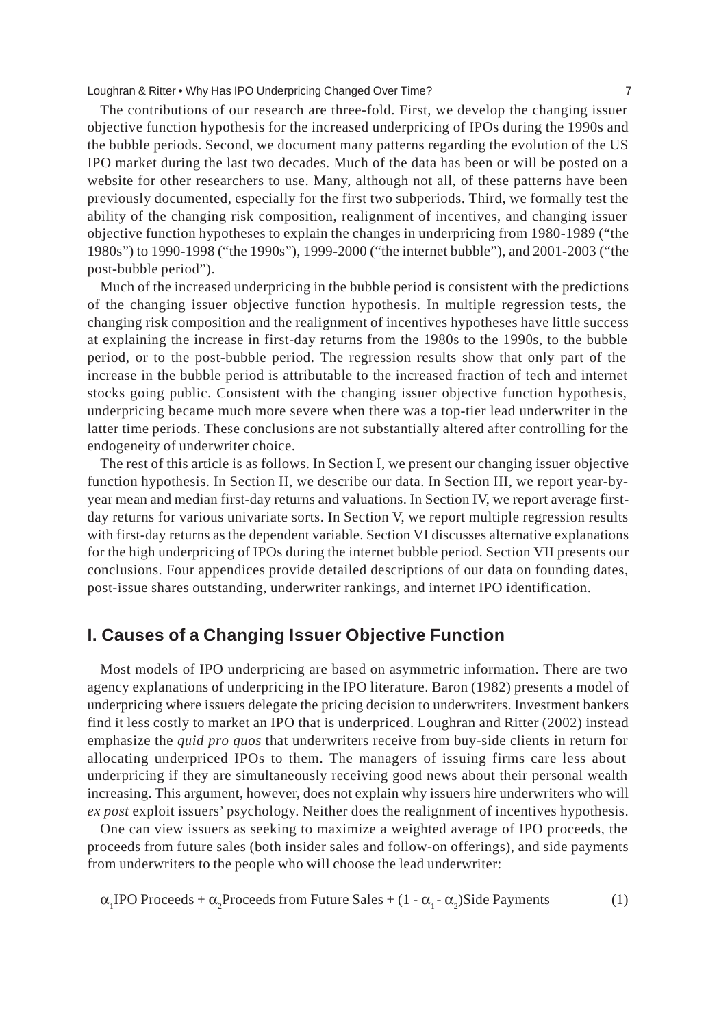#### Loughran & Ritter • Why Has IPO Underpricing Changed Over Time? 7

The contributions of our research are three-fold. First, we develop the changing issuer objective function hypothesis for the increased underpricing of IPOs during the 1990s and the bubble periods. Second, we document many patterns regarding the evolution of the US IPO market during the last two decades. Much of the data has been or will be posted on a website for other researchers to use. Many, although not all, of these patterns have been previously documented, especially for the first two subperiods. Third, we formally test the ability of the changing risk composition, realignment of incentives, and changing issuer objective function hypotheses to explain the changes in underpricing from 1980-1989 ("the 1980s") to 1990-1998 ("the 1990s"), 1999-2000 ("the internet bubble"), and 2001-2003 ("the post-bubble period").

Much of the increased underpricing in the bubble period is consistent with the predictions of the changing issuer objective function hypothesis. In multiple regression tests, the changing risk composition and the realignment of incentives hypotheses have little success at explaining the increase in first-day returns from the 1980s to the 1990s, to the bubble period, or to the post-bubble period. The regression results show that only part of the increase in the bubble period is attributable to the increased fraction of tech and internet stocks going public. Consistent with the changing issuer objective function hypothesis, underpricing became much more severe when there was a top-tier lead underwriter in the latter time periods. These conclusions are not substantially altered after controlling for the endogeneity of underwriter choice.

The rest of this article is as follows. In Section I, we present our changing issuer objective function hypothesis. In Section II, we describe our data. In Section III, we report year-byyear mean and median first-day returns and valuations. In Section IV, we report average firstday returns for various univariate sorts. In Section V, we report multiple regression results with first-day returns as the dependent variable. Section VI discusses alternative explanations for the high underpricing of IPOs during the internet bubble period. Section VII presents our conclusions. Four appendices provide detailed descriptions of our data on founding dates, post-issue shares outstanding, underwriter rankings, and internet IPO identification.

# **I. Causes of a Changing Issuer Objective Function**

Most models of IPO underpricing are based on asymmetric information. There are two agency explanations of underpricing in the IPO literature. Baron (1982) presents a model of underpricing where issuers delegate the pricing decision to underwriters. Investment bankers find it less costly to market an IPO that is underpriced. Loughran and Ritter (2002) instead emphasize the *quid pro quos* that underwriters receive from buy-side clients in return for allocating underpriced IPOs to them. The managers of issuing firms care less about underpricing if they are simultaneously receiving good news about their personal wealth increasing. This argument, however, does not explain why issuers hire underwriters who will *ex post* exploit issuers' psychology. Neither does the realignment of incentives hypothesis.

One can view issuers as seeking to maximize a weighted average of IPO proceeds, the proceeds from future sales (both insider sales and follow-on offerings), and side payments from underwriters to the people who will choose the lead underwriter:

$$
\alpha_1 \text{IPO Proceedings + \alpha_2 Proceedings from Future Sales + (1 - \alpha_1 - \alpha_2) \text{Side Payments} \tag{1}
$$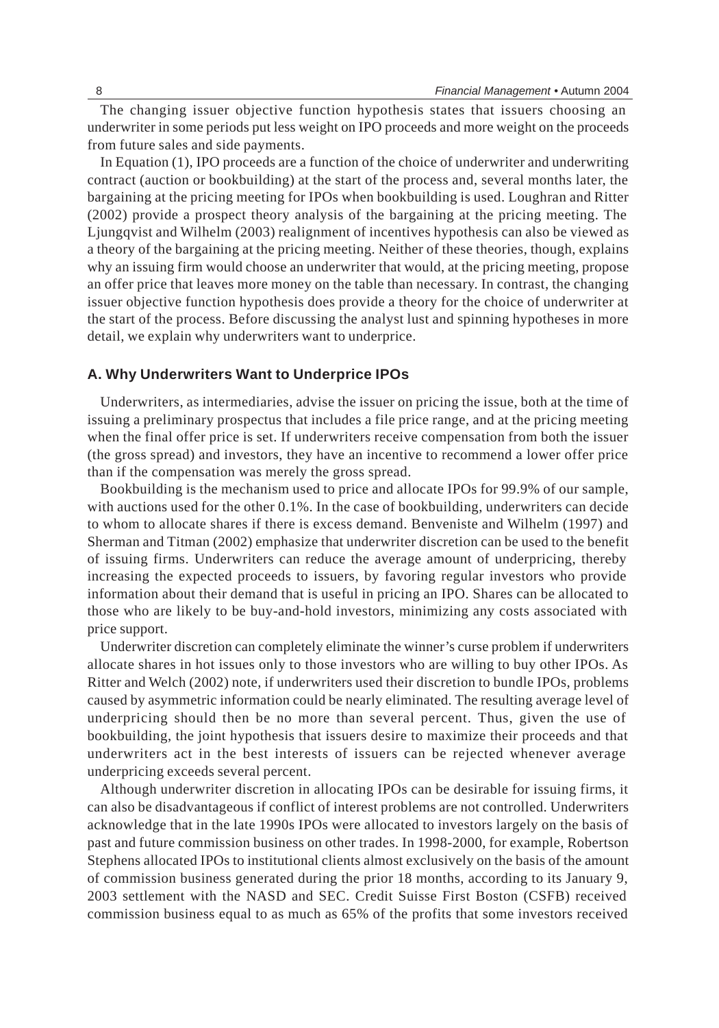The changing issuer objective function hypothesis states that issuers choosing an underwriter in some periods put less weight on IPO proceeds and more weight on the proceeds from future sales and side payments.

In Equation (1), IPO proceeds are a function of the choice of underwriter and underwriting contract (auction or bookbuilding) at the start of the process and, several months later, the bargaining at the pricing meeting for IPOs when bookbuilding is used. Loughran and Ritter (2002) provide a prospect theory analysis of the bargaining at the pricing meeting. The Ljungqvist and Wilhelm (2003) realignment of incentives hypothesis can also be viewed as a theory of the bargaining at the pricing meeting. Neither of these theories, though, explains why an issuing firm would choose an underwriter that would, at the pricing meeting, propose an offer price that leaves more money on the table than necessary. In contrast, the changing issuer objective function hypothesis does provide a theory for the choice of underwriter at the start of the process. Before discussing the analyst lust and spinning hypotheses in more detail, we explain why underwriters want to underprice.

#### **A. Why Underwriters Want to Underprice IPOs**

Underwriters, as intermediaries, advise the issuer on pricing the issue, both at the time of issuing a preliminary prospectus that includes a file price range, and at the pricing meeting when the final offer price is set. If underwriters receive compensation from both the issuer (the gross spread) and investors, they have an incentive to recommend a lower offer price than if the compensation was merely the gross spread.

Bookbuilding is the mechanism used to price and allocate IPOs for 99.9% of our sample, with auctions used for the other 0.1%. In the case of bookbuilding, underwriters can decide to whom to allocate shares if there is excess demand. Benveniste and Wilhelm (1997) and Sherman and Titman (2002) emphasize that underwriter discretion can be used to the benefit of issuing firms. Underwriters can reduce the average amount of underpricing, thereby increasing the expected proceeds to issuers, by favoring regular investors who provide information about their demand that is useful in pricing an IPO. Shares can be allocated to those who are likely to be buy-and-hold investors, minimizing any costs associated with price support.

Underwriter discretion can completely eliminate the winner's curse problem if underwriters allocate shares in hot issues only to those investors who are willing to buy other IPOs. As Ritter and Welch (2002) note, if underwriters used their discretion to bundle IPOs, problems caused by asymmetric information could be nearly eliminated. The resulting average level of underpricing should then be no more than several percent. Thus, given the use of bookbuilding, the joint hypothesis that issuers desire to maximize their proceeds and that underwriters act in the best interests of issuers can be rejected whenever average underpricing exceeds several percent.

Although underwriter discretion in allocating IPOs can be desirable for issuing firms, it can also be disadvantageous if conflict of interest problems are not controlled. Underwriters acknowledge that in the late 1990s IPOs were allocated to investors largely on the basis of past and future commission business on other trades. In 1998-2000, for example, Robertson Stephens allocated IPOs to institutional clients almost exclusively on the basis of the amount of commission business generated during the prior 18 months, according to its January 9, 2003 settlement with the NASD and SEC. Credit Suisse First Boston (CSFB) received commission business equal to as much as 65% of the profits that some investors received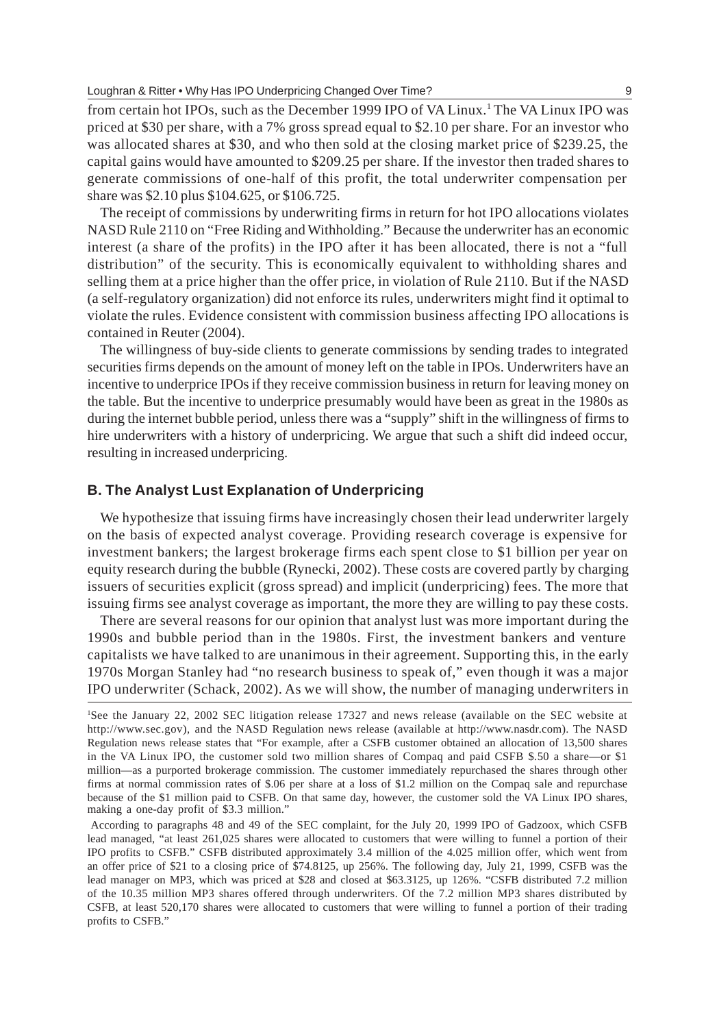from certain hot IPOs, such as the December 1999 IPO of VA Linux.1 The VA Linux IPO was priced at \$30 per share, with a 7% gross spread equal to \$2.10 per share. For an investor who was allocated shares at \$30, and who then sold at the closing market price of \$239.25, the capital gains would have amounted to \$209.25 per share. If the investor then traded shares to generate commissions of one-half of this profit, the total underwriter compensation per share was \$2.10 plus \$104.625, or \$106.725.

The receipt of commissions by underwriting firms in return for hot IPO allocations violates NASD Rule 2110 on "Free Riding and Withholding." Because the underwriter has an economic interest (a share of the profits) in the IPO after it has been allocated, there is not a "full distribution" of the security. This is economically equivalent to withholding shares and selling them at a price higher than the offer price, in violation of Rule 2110. But if the NASD (a self-regulatory organization) did not enforce its rules, underwriters might find it optimal to violate the rules. Evidence consistent with commission business affecting IPO allocations is contained in Reuter (2004).

The willingness of buy-side clients to generate commissions by sending trades to integrated securities firms depends on the amount of money left on the table in IPOs. Underwriters have an incentive to underprice IPOs if they receive commission business in return for leaving money on the table. But the incentive to underprice presumably would have been as great in the 1980s as during the internet bubble period, unless there was a "supply" shift in the willingness of firms to hire underwriters with a history of underpricing. We argue that such a shift did indeed occur, resulting in increased underpricing.

#### **B. The Analyst Lust Explanation of Underpricing**

We hypothesize that issuing firms have increasingly chosen their lead underwriter largely on the basis of expected analyst coverage. Providing research coverage is expensive for investment bankers; the largest brokerage firms each spent close to \$1 billion per year on equity research during the bubble (Rynecki, 2002). These costs are covered partly by charging issuers of securities explicit (gross spread) and implicit (underpricing) fees. The more that issuing firms see analyst coverage as important, the more they are willing to pay these costs.

There are several reasons for our opinion that analyst lust was more important during the 1990s and bubble period than in the 1980s. First, the investment bankers and venture capitalists we have talked to are unanimous in their agreement. Supporting this, in the early 1970s Morgan Stanley had "no research business to speak of," even though it was a major IPO underwriter (Schack, 2002). As we will show, the number of managing underwriters in

<sup>1</sup> See the January 22, 2002 SEC litigation release 17327 and news release (available on the SEC website at http://www.sec.gov), and the NASD Regulation news release (available at http://www.nasdr.com). The NASD Regulation news release states that "For example, after a CSFB customer obtained an allocation of 13,500 shares in the VA Linux IPO, the customer sold two million shares of Compaq and paid CSFB \$.50 a share—or \$1 million—as a purported brokerage commission. The customer immediately repurchased the shares through other firms at normal commission rates of \$.06 per share at a loss of \$1.2 million on the Compaq sale and repurchase because of the \$1 million paid to CSFB. On that same day, however, the customer sold the VA Linux IPO shares, making a one-day profit of \$3.3 million."

According to paragraphs 48 and 49 of the SEC complaint, for the July 20, 1999 IPO of Gadzoox, which CSFB lead managed, "at least 261,025 shares were allocated to customers that were willing to funnel a portion of their IPO profits to CSFB." CSFB distributed approximately 3.4 million of the 4.025 million offer, which went from an offer price of \$21 to a closing price of \$74.8125, up 256%. The following day, July 21, 1999, CSFB was the lead manager on MP3, which was priced at \$28 and closed at \$63.3125, up 126%. "CSFB distributed 7.2 million of the 10.35 million MP3 shares offered through underwriters. Of the 7.2 million MP3 shares distributed by CSFB, at least 520,170 shares were allocated to customers that were willing to funnel a portion of their trading profits to CSFB."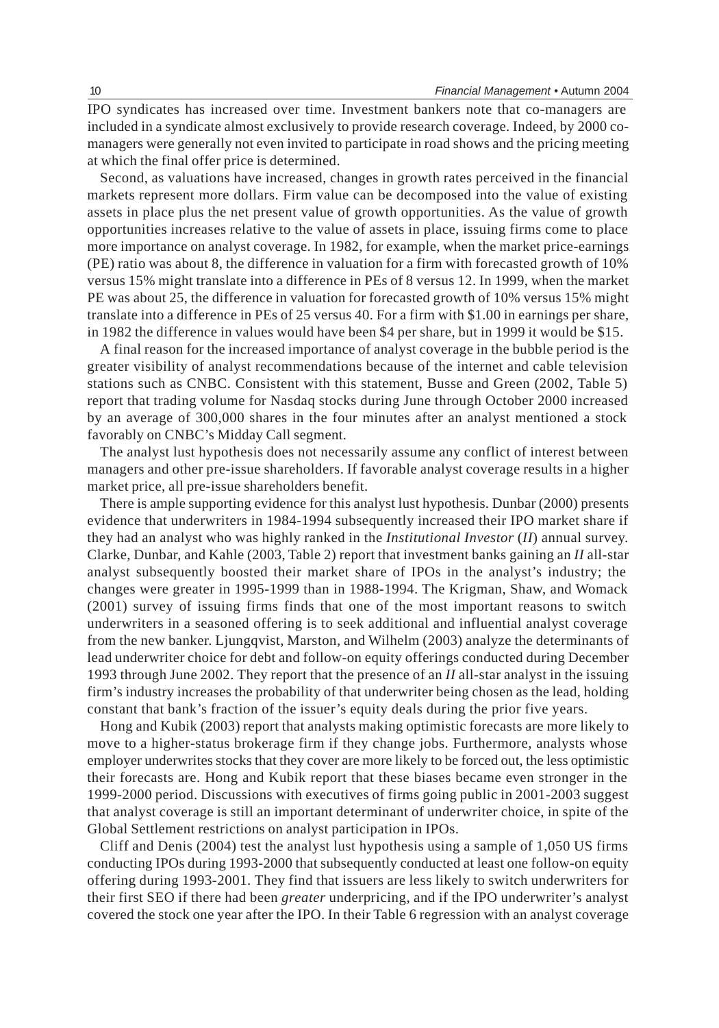IPO syndicates has increased over time. Investment bankers note that co-managers are included in a syndicate almost exclusively to provide research coverage. Indeed, by 2000 comanagers were generally not even invited to participate in road shows and the pricing meeting at which the final offer price is determined.

Second, as valuations have increased, changes in growth rates perceived in the financial markets represent more dollars. Firm value can be decomposed into the value of existing assets in place plus the net present value of growth opportunities. As the value of growth opportunities increases relative to the value of assets in place, issuing firms come to place more importance on analyst coverage. In 1982, for example, when the market price-earnings (PE) ratio was about 8, the difference in valuation for a firm with forecasted growth of 10% versus 15% might translate into a difference in PEs of 8 versus 12. In 1999, when the market PE was about 25, the difference in valuation for forecasted growth of 10% versus 15% might translate into a difference in PEs of 25 versus 40. For a firm with \$1.00 in earnings per share, in 1982 the difference in values would have been \$4 per share, but in 1999 it would be \$15.

A final reason for the increased importance of analyst coverage in the bubble period is the greater visibility of analyst recommendations because of the internet and cable television stations such as CNBC. Consistent with this statement, Busse and Green (2002, Table 5) report that trading volume for Nasdaq stocks during June through October 2000 increased by an average of 300,000 shares in the four minutes after an analyst mentioned a stock favorably on CNBC's Midday Call segment.

The analyst lust hypothesis does not necessarily assume any conflict of interest between managers and other pre-issue shareholders. If favorable analyst coverage results in a higher market price, all pre-issue shareholders benefit.

There is ample supporting evidence for this analyst lust hypothesis. Dunbar (2000) presents evidence that underwriters in 1984-1994 subsequently increased their IPO market share if they had an analyst who was highly ranked in the *Institutional Investor* (*II*) annual survey. Clarke, Dunbar, and Kahle (2003, Table 2) report that investment banks gaining an *II* all-star analyst subsequently boosted their market share of IPOs in the analyst's industry; the changes were greater in 1995-1999 than in 1988-1994. The Krigman, Shaw, and Womack (2001) survey of issuing firms finds that one of the most important reasons to switch underwriters in a seasoned offering is to seek additional and influential analyst coverage from the new banker. Ljungqvist, Marston, and Wilhelm (2003) analyze the determinants of lead underwriter choice for debt and follow-on equity offerings conducted during December 1993 through June 2002. They report that the presence of an *II* all-star analyst in the issuing firm's industry increases the probability of that underwriter being chosen as the lead, holding constant that bank's fraction of the issuer's equity deals during the prior five years.

Hong and Kubik (2003) report that analysts making optimistic forecasts are more likely to move to a higher-status brokerage firm if they change jobs. Furthermore, analysts whose employer underwrites stocks that they cover are more likely to be forced out, the less optimistic their forecasts are. Hong and Kubik report that these biases became even stronger in the 1999-2000 period. Discussions with executives of firms going public in 2001-2003 suggest that analyst coverage is still an important determinant of underwriter choice, in spite of the Global Settlement restrictions on analyst participation in IPOs.

Cliff and Denis (2004) test the analyst lust hypothesis using a sample of 1,050 US firms conducting IPOs during 1993-2000 that subsequently conducted at least one follow-on equity offering during 1993-2001. They find that issuers are less likely to switch underwriters for their first SEO if there had been *greater* underpricing, and if the IPO underwriter's analyst covered the stock one year after the IPO. In their Table 6 regression with an analyst coverage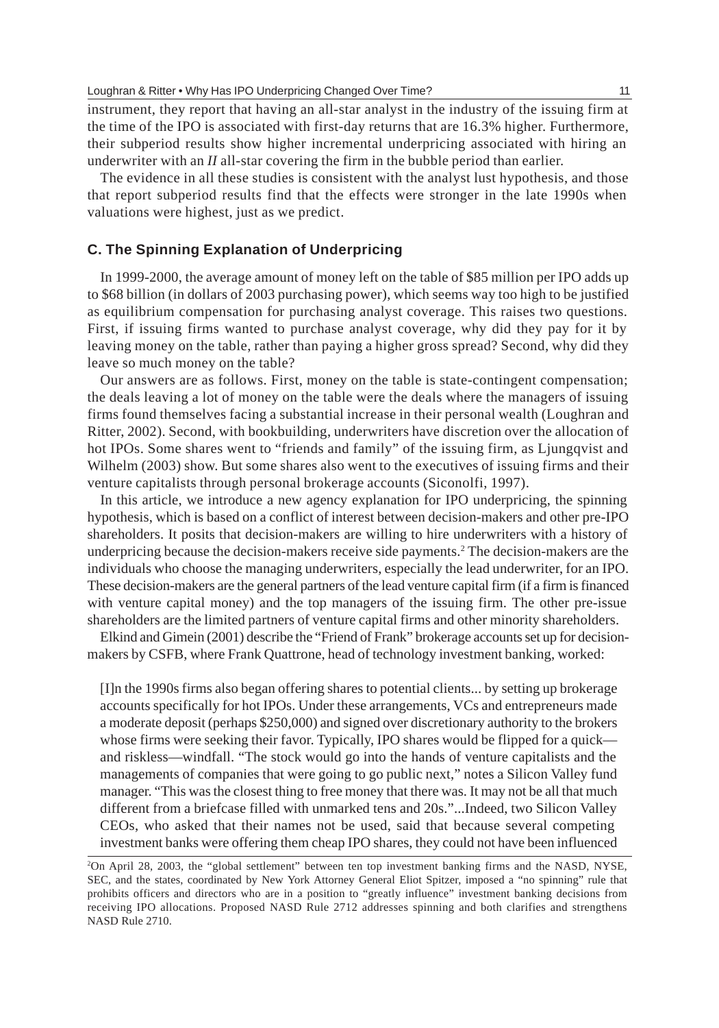instrument, they report that having an all-star analyst in the industry of the issuing firm at the time of the IPO is associated with first-day returns that are 16.3% higher. Furthermore, their subperiod results show higher incremental underpricing associated with hiring an underwriter with an *II* all-star covering the firm in the bubble period than earlier.

The evidence in all these studies is consistent with the analyst lust hypothesis, and those that report subperiod results find that the effects were stronger in the late 1990s when valuations were highest, just as we predict.

#### **C. The Spinning Explanation of Underpricing**

In 1999-2000, the average amount of money left on the table of \$85 million per IPO adds up to \$68 billion (in dollars of 2003 purchasing power), which seems way too high to be justified as equilibrium compensation for purchasing analyst coverage. This raises two questions. First, if issuing firms wanted to purchase analyst coverage, why did they pay for it by leaving money on the table, rather than paying a higher gross spread? Second, why did they leave so much money on the table?

Our answers are as follows. First, money on the table is state-contingent compensation; the deals leaving a lot of money on the table were the deals where the managers of issuing firms found themselves facing a substantial increase in their personal wealth (Loughran and Ritter, 2002). Second, with bookbuilding, underwriters have discretion over the allocation of hot IPOs. Some shares went to "friends and family" of the issuing firm, as Ljungqvist and Wilhelm (2003) show. But some shares also went to the executives of issuing firms and their venture capitalists through personal brokerage accounts (Siconolfi, 1997).

In this article, we introduce a new agency explanation for IPO underpricing, the spinning hypothesis, which is based on a conflict of interest between decision-makers and other pre-IPO shareholders. It posits that decision-makers are willing to hire underwriters with a history of underpricing because the decision-makers receive side payments.2 The decision-makers are the individuals who choose the managing underwriters, especially the lead underwriter, for an IPO. These decision-makers are the general partners of the lead venture capital firm (if a firm is financed with venture capital money) and the top managers of the issuing firm. The other pre-issue shareholders are the limited partners of venture capital firms and other minority shareholders.

Elkind and Gimein (2001) describe the "Friend of Frank" brokerage accounts set up for decisionmakers by CSFB, where Frank Quattrone, head of technology investment banking, worked:

[I]n the 1990s firms also began offering shares to potential clients... by setting up brokerage accounts specifically for hot IPOs. Under these arrangements, VCs and entrepreneurs made a moderate deposit (perhaps \$250,000) and signed over discretionary authority to the brokers whose firms were seeking their favor. Typically, IPO shares would be flipped for a quick and riskless—windfall. "The stock would go into the hands of venture capitalists and the managements of companies that were going to go public next," notes a Silicon Valley fund manager. "This was the closest thing to free money that there was. It may not be all that much different from a briefcase filled with unmarked tens and 20s."...Indeed, two Silicon Valley CEOs, who asked that their names not be used, said that because several competing investment banks were offering them cheap IPO shares, they could not have been influenced

<sup>2</sup> On April 28, 2003, the "global settlement" between ten top investment banking firms and the NASD, NYSE, SEC, and the states, coordinated by New York Attorney General Eliot Spitzer, imposed a "no spinning" rule that prohibits officers and directors who are in a position to "greatly influence" investment banking decisions from receiving IPO allocations. Proposed NASD Rule 2712 addresses spinning and both clarifies and strengthens NASD Rule 2710.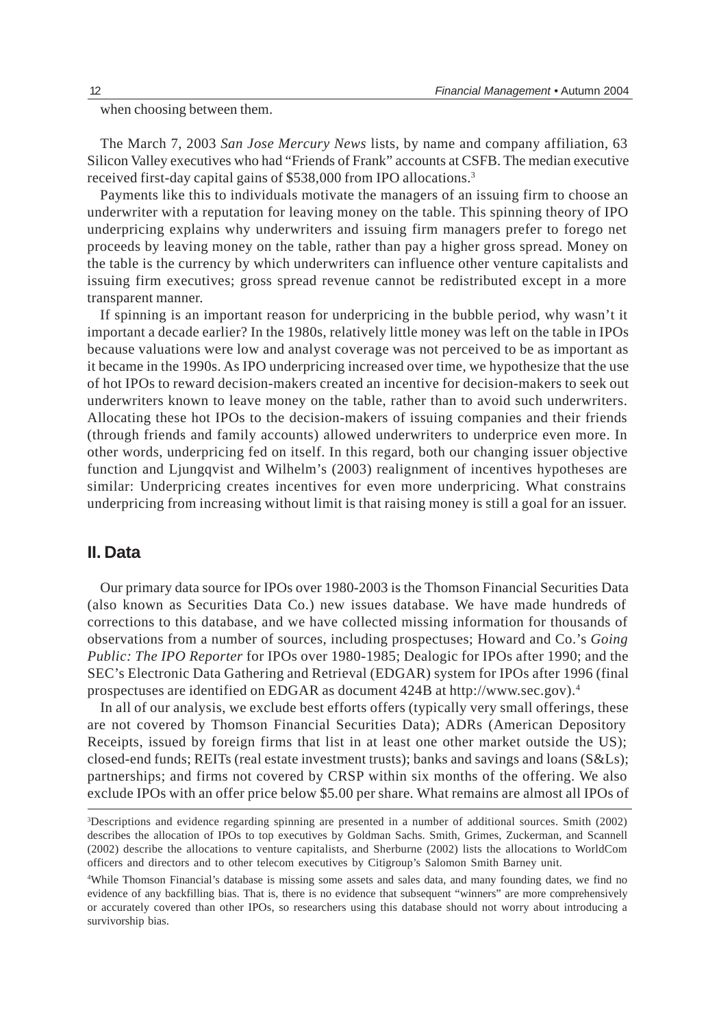when choosing between them.

The March 7, 2003 *San Jose Mercury News* lists, by name and company affiliation, 63 Silicon Valley executives who had "Friends of Frank" accounts at CSFB. The median executive received first-day capital gains of \$538,000 from IPO allocations.3

Payments like this to individuals motivate the managers of an issuing firm to choose an underwriter with a reputation for leaving money on the table. This spinning theory of IPO underpricing explains why underwriters and issuing firm managers prefer to forego net proceeds by leaving money on the table, rather than pay a higher gross spread. Money on the table is the currency by which underwriters can influence other venture capitalists and issuing firm executives; gross spread revenue cannot be redistributed except in a more transparent manner.

If spinning is an important reason for underpricing in the bubble period, why wasn't it important a decade earlier? In the 1980s, relatively little money was left on the table in IPOs because valuations were low and analyst coverage was not perceived to be as important as it became in the 1990s. As IPO underpricing increased over time, we hypothesize that the use of hot IPOs to reward decision-makers created an incentive for decision-makers to seek out underwriters known to leave money on the table, rather than to avoid such underwriters. Allocating these hot IPOs to the decision-makers of issuing companies and their friends (through friends and family accounts) allowed underwriters to underprice even more. In other words, underpricing fed on itself. In this regard, both our changing issuer objective function and Ljungqvist and Wilhelm's (2003) realignment of incentives hypotheses are similar: Underpricing creates incentives for even more underpricing. What constrains underpricing from increasing without limit is that raising money is still a goal for an issuer.

## **II. Data**

Our primary data source for IPOs over 1980-2003 is the Thomson Financial Securities Data (also known as Securities Data Co.) new issues database. We have made hundreds of corrections to this database, and we have collected missing information for thousands of observations from a number of sources, including prospectuses; Howard and Co.'s *Going Public: The IPO Reporter* for IPOs over 1980-1985; Dealogic for IPOs after 1990; and the SEC's Electronic Data Gathering and Retrieval (EDGAR) system for IPOs after 1996 (final prospectuses are identified on EDGAR as document 424B at http://www.sec.gov).4

In all of our analysis, we exclude best efforts offers (typically very small offerings, these are not covered by Thomson Financial Securities Data); ADRs (American Depository Receipts, issued by foreign firms that list in at least one other market outside the US); closed-end funds; REITs (real estate investment trusts); banks and savings and loans (S&Ls); partnerships; and firms not covered by CRSP within six months of the offering. We also exclude IPOs with an offer price below \$5.00 per share. What remains are almost all IPOs of

<sup>3</sup> Descriptions and evidence regarding spinning are presented in a number of additional sources. Smith (2002) describes the allocation of IPOs to top executives by Goldman Sachs. Smith, Grimes, Zuckerman, and Scannell (2002) describe the allocations to venture capitalists, and Sherburne (2002) lists the allocations to WorldCom officers and directors and to other telecom executives by Citigroup's Salomon Smith Barney unit.

<sup>4</sup> While Thomson Financial's database is missing some assets and sales data, and many founding dates, we find no evidence of any backfilling bias. That is, there is no evidence that subsequent "winners" are more comprehensively or accurately covered than other IPOs, so researchers using this database should not worry about introducing a survivorship bias.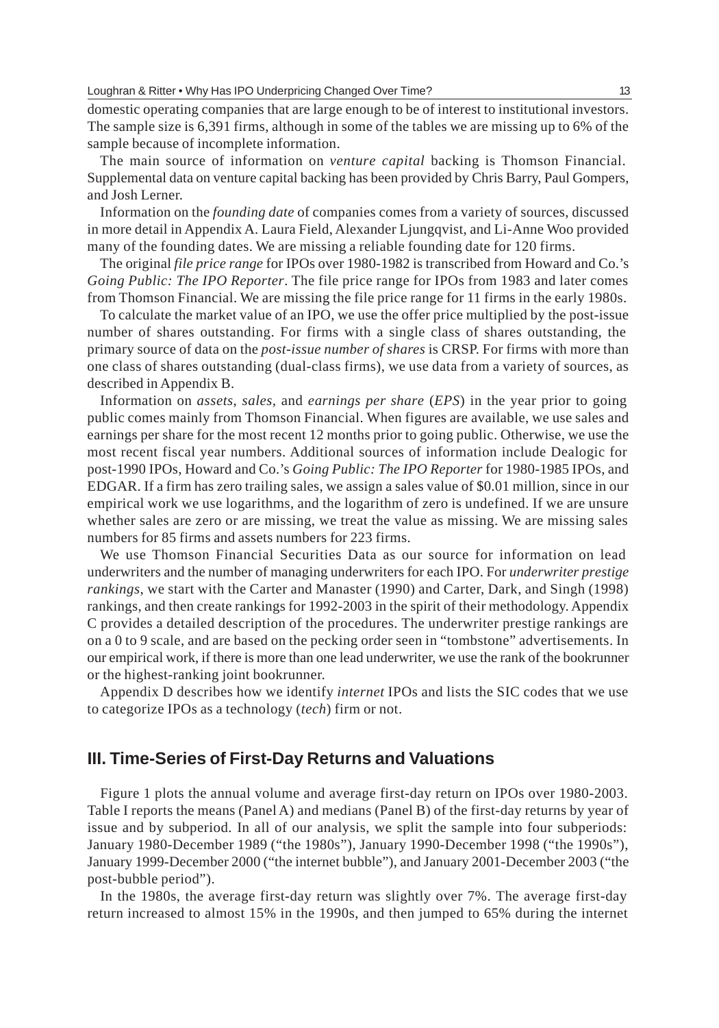domestic operating companies that are large enough to be of interest to institutional investors. The sample size is 6,391 firms, although in some of the tables we are missing up to 6% of the sample because of incomplete information.

The main source of information on *venture capital* backing is Thomson Financial. Supplemental data on venture capital backing has been provided by Chris Barry, Paul Gompers, and Josh Lerner.

Information on the *founding date* of companies comes from a variety of sources, discussed in more detail in Appendix A. Laura Field, Alexander Ljungqvist, and Li-Anne Woo provided many of the founding dates. We are missing a reliable founding date for 120 firms.

The original *file price range* for IPOs over 1980-1982 is transcribed from Howard and Co.'s *Going Public: The IPO Reporter*. The file price range for IPOs from 1983 and later comes from Thomson Financial. We are missing the file price range for 11 firms in the early 1980s.

To calculate the market value of an IPO, we use the offer price multiplied by the post-issue number of shares outstanding. For firms with a single class of shares outstanding, the primary source of data on the *post-issue number of shares* is CRSP. For firms with more than one class of shares outstanding (dual-class firms), we use data from a variety of sources, as described in Appendix B.

Information on *assets*, *sales,* and *earnings per share* (*EPS*) in the year prior to going public comes mainly from Thomson Financial. When figures are available, we use sales and earnings per share for the most recent 12 months prior to going public. Otherwise, we use the most recent fiscal year numbers. Additional sources of information include Dealogic for post-1990 IPOs, Howard and Co.'s *Going Public: The IPO Reporter* for 1980-1985 IPOs, and EDGAR. If a firm has zero trailing sales, we assign a sales value of \$0.01 million, since in our empirical work we use logarithms, and the logarithm of zero is undefined. If we are unsure whether sales are zero or are missing, we treat the value as missing. We are missing sales numbers for 85 firms and assets numbers for 223 firms.

We use Thomson Financial Securities Data as our source for information on lead underwriters and the number of managing underwriters for each IPO. For *underwriter prestige rankings*, we start with the Carter and Manaster (1990) and Carter, Dark, and Singh (1998) rankings, and then create rankings for 1992-2003 in the spirit of their methodology. Appendix C provides a detailed description of the procedures. The underwriter prestige rankings are on a 0 to 9 scale, and are based on the pecking order seen in "tombstone" advertisements. In our empirical work, if there is more than one lead underwriter, we use the rank of the bookrunner or the highest-ranking joint bookrunner.

Appendix D describes how we identify *internet* IPOs and lists the SIC codes that we use to categorize IPOs as a technology (*tech*) firm or not.

## **III. Time-Series of First-Day Returns and Valuations**

Figure 1 plots the annual volume and average first-day return on IPOs over 1980-2003. Table I reports the means (Panel A) and medians (Panel B) of the first-day returns by year of issue and by subperiod. In all of our analysis, we split the sample into four subperiods: January 1980-December 1989 ("the 1980s"), January 1990-December 1998 ("the 1990s"), January 1999-December 2000 ("the internet bubble"), and January 2001-December 2003 ("the post-bubble period").

In the 1980s, the average first-day return was slightly over 7%. The average first-day return increased to almost 15% in the 1990s, and then jumped to 65% during the internet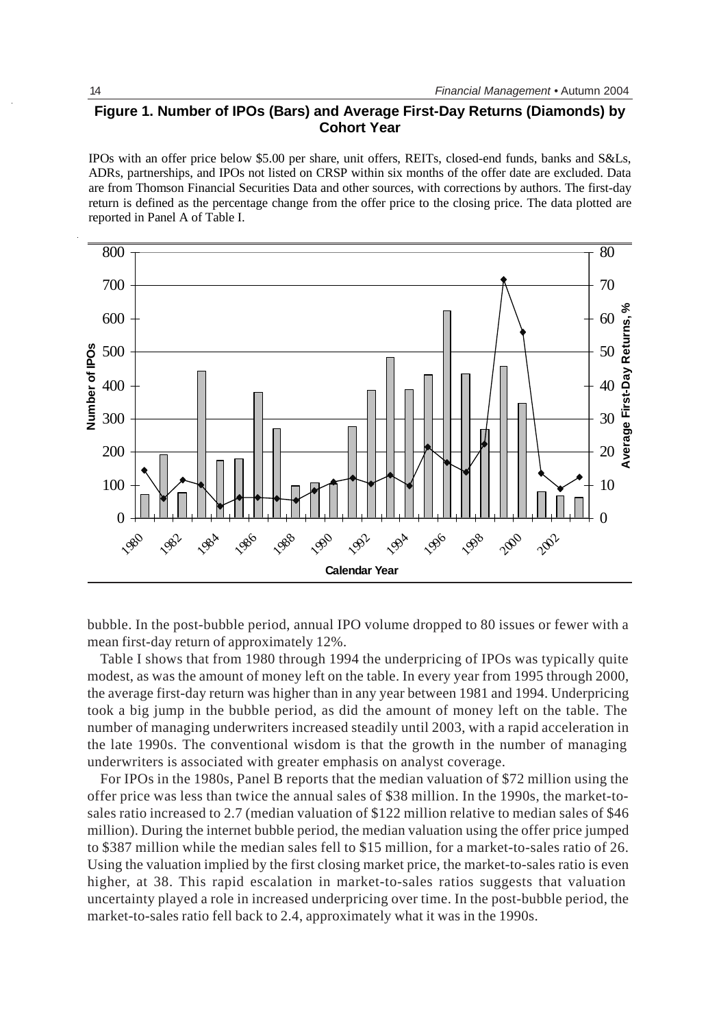# **Figure 1. Number of IPOs (Bars) and Average First-Day Returns (Diamonds) by Cohort Year**

IPOs with an offer price below \$5.00 per share, unit offers, REITs, closed-end funds, banks and S&Ls, ADRs, partnerships, and IPOs not listed on CRSP within six months of the offer date are excluded. Data are from Thomson Financial Securities Data and other sources, with corrections by authors. The first-day return is defined as the percentage change from the offer price to the closing price. The data plotted are reported in Panel A of Table I.



bubble. In the post-bubble period, annual IPO volume dropped to 80 issues or fewer with a mean first-day return of approximately 12%.

Table I shows that from 1980 through 1994 the underpricing of IPOs was typically quite modest, as was the amount of money left on the table. In every year from 1995 through 2000, the average first-day return was higher than in any year between 1981 and 1994. Underpricing took a big jump in the bubble period, as did the amount of money left on the table. The number of managing underwriters increased steadily until 2003, with a rapid acceleration in the late 1990s. The conventional wisdom is that the growth in the number of managing underwriters is associated with greater emphasis on analyst coverage.

For IPOs in the 1980s, Panel B reports that the median valuation of \$72 million using the offer price was less than twice the annual sales of \$38 million. In the 1990s, the market-tosales ratio increased to 2.7 (median valuation of \$122 million relative to median sales of \$46 million). During the internet bubble period, the median valuation using the offer price jumped to \$387 million while the median sales fell to \$15 million, for a market-to-sales ratio of 26. Using the valuation implied by the first closing market price, the market-to-sales ratio is even higher, at 38. This rapid escalation in market-to-sales ratios suggests that valuation uncertainty played a role in increased underpricing over time. In the post-bubble period, the market-to-sales ratio fell back to 2.4, approximately what it was in the 1990s.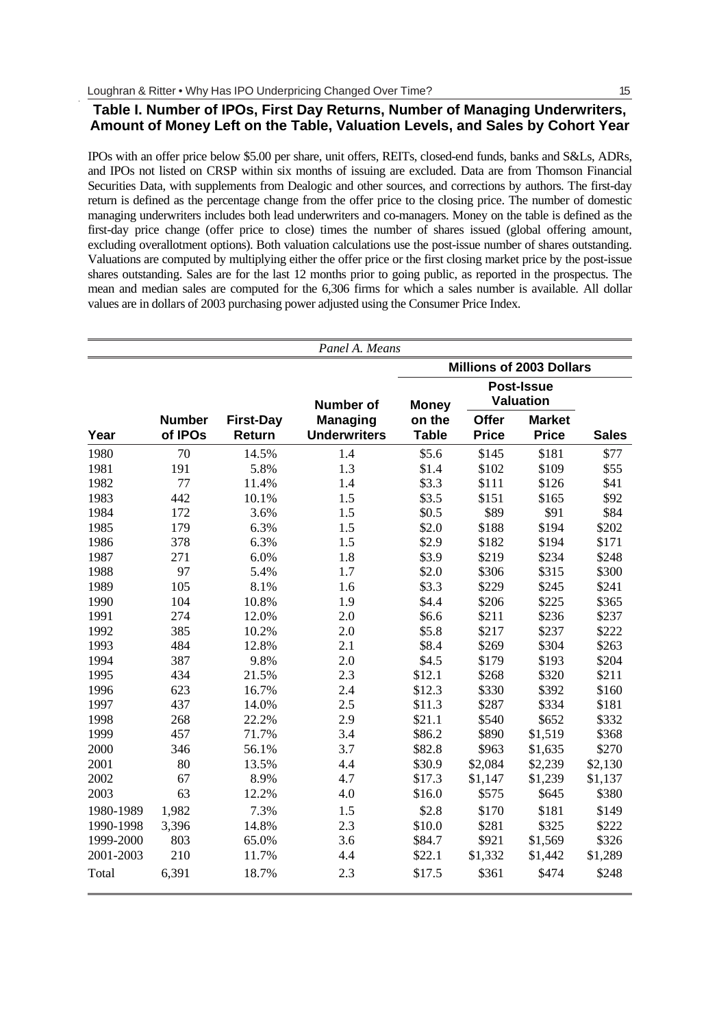## **Table I. Number of IPOs, First Day Returns, Number of Managing Underwriters, Amount of Money Left on the Table, Valuation Levels, and Sales by Cohort Year**

IPOs with an offer price below \$5.00 per share, unit offers, REITs, closed-end funds, banks and S&Ls, ADRs, and IPOs not listed on CRSP within six months of issuing are excluded. Data are from Thomson Financial Securities Data, with supplements from Dealogic and other sources, and corrections by authors. The first-day return is defined as the percentage change from the offer price to the closing price. The number of domestic managing underwriters includes both lead underwriters and co-managers. Money on the table is defined as the first-day price change (offer price to close) times the number of shares issued (global offering amount, excluding overallotment options). Both valuation calculations use the post-issue number of shares outstanding. Valuations are computed by multiplying either the offer price or the first closing market price by the post-issue shares outstanding. Sales are for the last 12 months prior to going public, as reported in the prospectus. The mean and median sales are computed for the 6,306 firms for which a sales number is available. All dollar values are in dollars of 2003 purchasing power adjusted using the Consumer Price Index.

|           |                          |                            | Panel A. Means                         |                        |                       |                                 |              |
|-----------|--------------------------|----------------------------|----------------------------------------|------------------------|-----------------------|---------------------------------|--------------|
|           |                          |                            |                                        |                        |                       | <b>Millions of 2003 Dollars</b> |              |
|           |                          |                            | <b>Number of</b>                       | <b>Money</b>           |                       | Post-Issue<br><b>Valuation</b>  |              |
| Year      | <b>Number</b><br>of IPOs | <b>First-Day</b><br>Return | <b>Managing</b><br><b>Underwriters</b> | on the<br><b>Table</b> | Offer<br><b>Price</b> | <b>Market</b><br><b>Price</b>   | <b>Sales</b> |
| 1980      | 70                       | 14.5%                      | 1.4                                    | \$5.6                  | \$145                 | \$181                           | \$77         |
| 1981      | 191                      | 5.8%                       | 1.3                                    | \$1.4                  | \$102                 | \$109                           | \$55         |
| 1982      | 77                       | 11.4%                      | 1.4                                    | \$3.3                  | \$111                 | \$126                           | \$41         |
| 1983      | 442                      | 10.1%                      | 1.5                                    | \$3.5                  | \$151                 | \$165                           | \$92         |
| 1984      | 172                      | 3.6%                       | 1.5                                    | \$0.5                  | \$89                  | \$91                            | \$84         |
| 1985      | 179                      | 6.3%                       | 1.5                                    | \$2.0                  | \$188                 | \$194                           | \$202        |
| 1986      | 378                      | 6.3%                       | 1.5                                    | \$2.9                  | \$182                 | \$194                           | \$171        |
| 1987      | 271                      | 6.0%                       | 1.8                                    | \$3.9                  | \$219                 | \$234                           | \$248        |
| 1988      | 97                       | 5.4%                       | 1.7                                    | \$2.0                  | \$306                 | \$315                           | \$300        |
| 1989      | 105                      | 8.1%                       | 1.6                                    | \$3.3                  | \$229                 | \$245                           | \$241        |
| 1990      | 104                      | 10.8%                      | 1.9                                    | \$4.4                  | \$206                 | \$225                           | \$365        |
| 1991      | 274                      | 12.0%                      | 2.0                                    | \$6.6                  | \$211                 | \$236                           | \$237        |
| 1992      | 385                      | 10.2%                      | 2.0                                    | \$5.8                  | \$217                 | \$237                           | \$222        |
| 1993      | 484                      | 12.8%                      | 2.1                                    | \$8.4                  | \$269                 | \$304                           | \$263        |
| 1994      | 387                      | 9.8%                       | 2.0                                    | \$4.5                  | \$179                 | \$193                           | \$204        |
| 1995      | 434                      | 21.5%                      | 2.3                                    | \$12.1                 | \$268                 | \$320                           | \$211        |
| 1996      | 623                      | 16.7%                      | 2.4                                    | \$12.3                 | \$330                 | \$392                           | \$160        |
| 1997      | 437                      | 14.0%                      | 2.5                                    | \$11.3                 | \$287                 | \$334                           | \$181        |
| 1998      | 268                      | 22.2%                      | 2.9                                    | \$21.1                 | \$540                 | \$652                           | \$332        |
| 1999      | 457                      | 71.7%                      | 3.4                                    | \$86.2                 | \$890                 | \$1,519                         | \$368        |
| 2000      | 346                      | 56.1%                      | 3.7                                    | \$82.8                 | \$963                 | \$1,635                         | \$270        |
| 2001      | 80                       | 13.5%                      | 4.4                                    | \$30.9                 | \$2,084               | \$2,239                         | \$2,130      |
| 2002      | 67                       | 8.9%                       | 4.7                                    | \$17.3                 | \$1,147               | \$1,239                         | \$1,137      |
| 2003      | 63                       | 12.2%                      | 4.0                                    | \$16.0                 | \$575                 | \$645                           | \$380        |
| 1980-1989 | 1,982                    | 7.3%                       | 1.5                                    | \$2.8                  | \$170                 | \$181                           | \$149        |
| 1990-1998 | 3,396                    | 14.8%                      | 2.3                                    | \$10.0                 | \$281                 | \$325                           | \$222        |
| 1999-2000 | 803                      | 65.0%                      | 3.6                                    | \$84.7                 | \$921                 | \$1,569                         | \$326        |
| 2001-2003 | 210                      | 11.7%                      | 4.4                                    | \$22.1                 | \$1,332               | \$1,442                         | \$1,289      |
| Total     | 6.391                    | 18.7%                      | 2.3                                    | \$17.5                 | \$361                 | \$474                           | \$248        |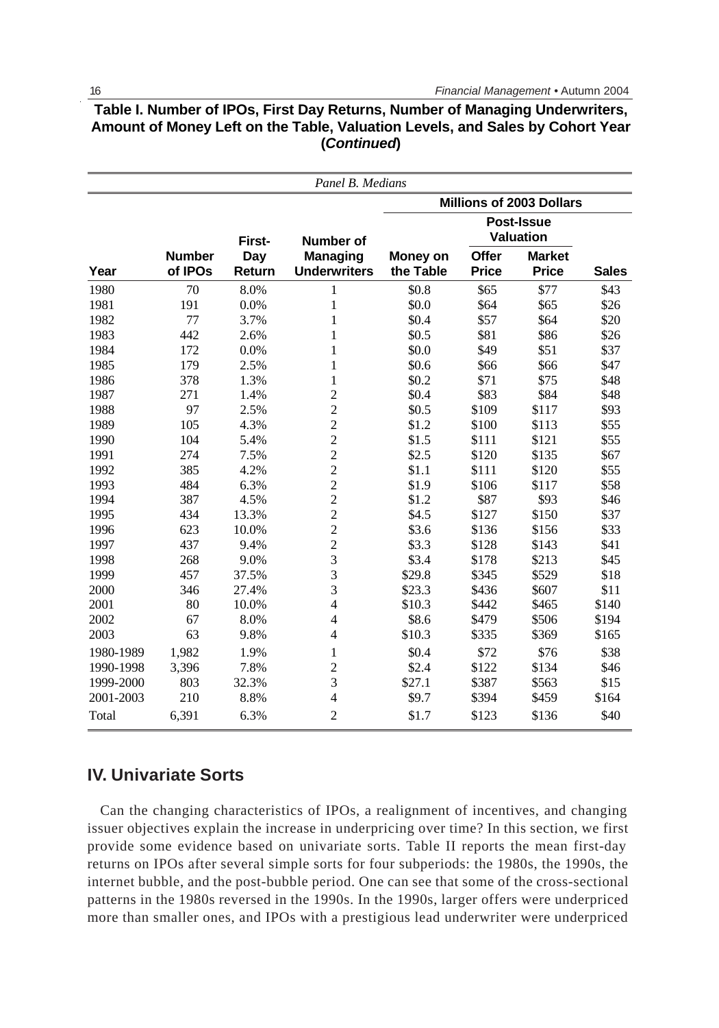|           |                          |               | Panel B. Medians                |                       |                       |                                |              |
|-----------|--------------------------|---------------|---------------------------------|-----------------------|-----------------------|--------------------------------|--------------|
|           |                          |               |                                 |                       |                       | Millions of 2003 Dollars       |              |
|           |                          | First-        | <b>Number of</b>                |                       |                       | Post-Issue<br><b>Valuation</b> |              |
| Year      | <b>Number</b><br>of IPOs | Day<br>Return | Managing<br><b>Underwriters</b> | Money on<br>the Table | Offer<br><b>Price</b> | <b>Market</b><br><b>Price</b>  | <b>Sales</b> |
| 1980      | 70                       | 8.0%          | 1                               | \$0.8                 | \$65                  | \$77                           | \$43         |
| 1981      | 191                      | 0.0%          | $\mathbf{1}$                    | \$0.0                 | \$64                  | \$65                           | \$26         |
| 1982      | 77                       | 3.7%          | $\mathbf{1}$                    | \$0.4                 | \$57                  | \$64                           | \$20         |
| 1983      | 442                      | 2.6%          | $\mathbf{1}$                    | \$0.5                 | \$81                  | \$86                           | \$26         |
| 1984      | 172                      | 0.0%          | $\mathbf{1}$                    | \$0.0                 | \$49                  | \$51                           | \$37         |
| 1985      | 179                      | 2.5%          | $\mathbf{1}$                    | \$0.6                 | \$66                  | \$66                           | \$47         |
| 1986      | 378                      | 1.3%          | $\mathbf{1}$                    | \$0.2                 | \$71                  | \$75                           | \$48         |
| 1987      | 271                      | 1.4%          | $\overline{2}$                  | \$0.4                 | \$83                  | \$84                           | \$48         |
| 1988      | 97                       | 2.5%          | $\overline{2}$                  | \$0.5                 | \$109                 | \$117                          | \$93         |
| 1989      | 105                      | 4.3%          | $\overline{2}$                  | \$1.2                 | \$100                 | \$113                          | \$55         |
| 1990      | 104                      | 5.4%          | $\overline{2}$                  | \$1.5                 | \$111                 | \$121                          | \$55         |
| 1991      | 274                      | 7.5%          | $\overline{2}$                  | \$2.5                 | \$120                 | \$135                          | \$67         |
| 1992      | 385                      | 4.2%          | $\overline{2}$                  | \$1.1                 | \$111                 | \$120                          | \$55         |
| 1993      | 484                      | 6.3%          | $\overline{2}$                  | \$1.9                 | \$106                 | \$117                          | \$58         |
| 1994      | 387                      | 4.5%          | $\overline{c}$                  | \$1.2                 | \$87                  | \$93                           | \$46         |
| 1995      | 434                      | 13.3%         | $\overline{c}$                  | \$4.5                 | \$127                 | \$150                          | \$37         |
| 1996      | 623                      | 10.0%         | $\overline{c}$                  | \$3.6                 | \$136                 | \$156                          | \$33         |
| 1997      | 437                      | 9.4%          | $\overline{2}$                  | \$3.3                 | \$128                 | \$143                          | \$41         |
| 1998      | 268                      | 9.0%          | 3                               | \$3.4                 | \$178                 | \$213                          | \$45         |
| 1999      | 457                      | 37.5%         | 3                               | \$29.8                | \$345                 | \$529                          | \$18         |
| 2000      | 346                      | 27.4%         | 3                               | \$23.3                | \$436                 | \$607                          | \$11         |
| 2001      | 80                       | 10.0%         | $\overline{4}$                  | \$10.3                | \$442                 | \$465                          | \$140        |
| 2002      | 67                       | 8.0%          | $\overline{4}$                  | \$8.6                 | \$479                 | \$506                          | \$194        |
| 2003      | 63                       | 9.8%          | $\overline{4}$                  | \$10.3                | \$335                 | \$369                          | \$165        |
| 1980-1989 | 1,982                    | 1.9%          | $\mathbf{1}$                    | \$0.4                 | \$72                  | \$76                           | \$38         |
| 1990-1998 | 3,396                    | 7.8%          | $\overline{c}$                  | \$2.4                 | \$122                 | \$134                          | \$46         |
| 1999-2000 | 803                      | 32.3%         | 3                               | \$27.1                | \$387                 | \$563                          | \$15         |
| 2001-2003 | 210                      | 8.8%          | $\overline{4}$                  | \$9.7                 | \$394                 | \$459                          | \$164        |
| Total     | 6,391                    | 6.3%          | $\overline{2}$                  | \$1.7                 | \$123                 | \$136                          | \$40         |

# **Table I. Number of IPOs, First Day Returns, Number of Managing Underwriters, Amount of Money Left on the Table, Valuation Levels, and Sales by Cohort Year (***Continued***)**

# **IV. Univariate Sorts**

Can the changing characteristics of IPOs, a realignment of incentives, and changing issuer objectives explain the increase in underpricing over time? In this section, we first provide some evidence based on univariate sorts. Table II reports the mean first-day returns on IPOs after several simple sorts for four subperiods: the 1980s, the 1990s, the internet bubble, and the post-bubble period. One can see that some of the cross-sectional patterns in the 1980s reversed in the 1990s. In the 1990s, larger offers were underpriced more than smaller ones, and IPOs with a prestigious lead underwriter were underpriced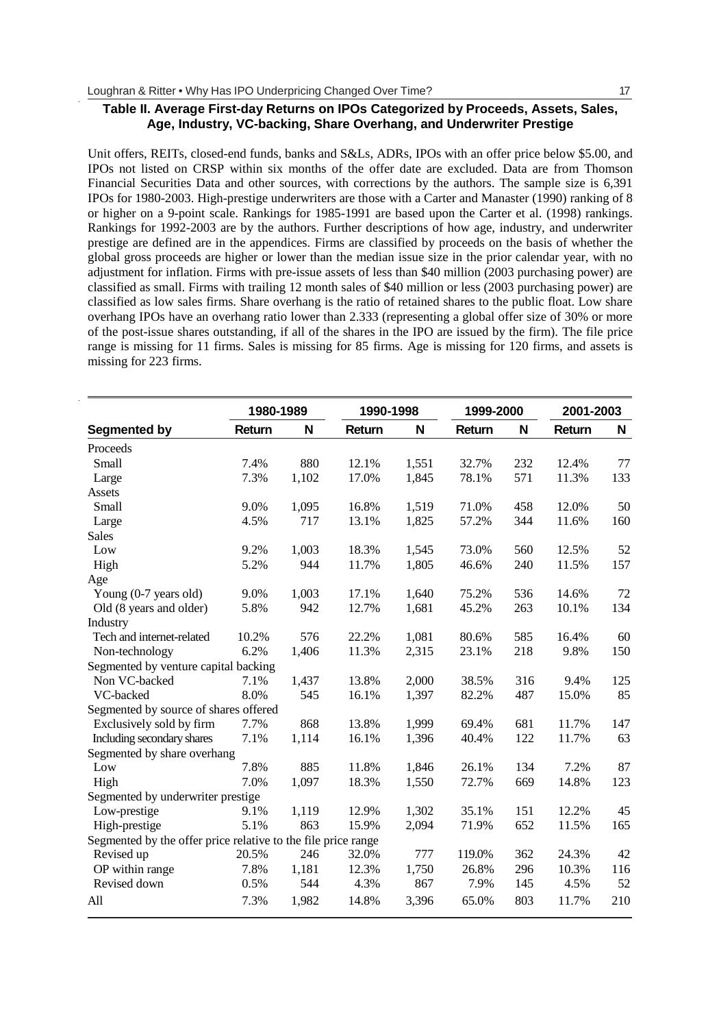## **Table II. Average First-day Returns on IPOs Categorized by Proceeds, Assets, Sales, Age, Industry, VC-backing, Share Overhang, and Underwriter Prestige**

Unit offers, REITs, closed-end funds, banks and S&Ls, ADRs, IPOs with an offer price below \$5.00, and IPOs not listed on CRSP within six months of the offer date are excluded. Data are from Thomson Financial Securities Data and other sources, with corrections by the authors. The sample size is 6,391 IPOs for 1980-2003. High-prestige underwriters are those with a Carter and Manaster (1990) ranking of 8 or higher on a 9-point scale. Rankings for 1985-1991 are based upon the Carter et al. (1998) rankings. Rankings for 1992-2003 are by the authors. Further descriptions of how age, industry, and underwriter prestige are defined are in the appendices. Firms are classified by proceeds on the basis of whether the global gross proceeds are higher or lower than the median issue size in the prior calendar year, with no adjustment for inflation. Firms with pre-issue assets of less than \$40 million (2003 purchasing power) are classified as small. Firms with trailing 12 month sales of \$40 million or less (2003 purchasing power) are classified as low sales firms. Share overhang is the ratio of retained shares to the public float. Low share overhang IPOs have an overhang ratio lower than 2.333 (representing a global offer size of 30% or more of the post-issue shares outstanding, if all of the shares in the IPO are issued by the firm). The file price range is missing for 11 firms. Sales is missing for 85 firms. Age is missing for 120 firms, and assets is missing for 223 firms.

|                                                               | 1980-1989 |       | 1990-1998 |       | 1999-2000 |     | 2001-2003 |     |
|---------------------------------------------------------------|-----------|-------|-----------|-------|-----------|-----|-----------|-----|
| Segmented by                                                  | Return    | N     | Return    | N     | Return    | N   | Return    | N   |
| Proceeds                                                      |           |       |           |       |           |     |           |     |
| Small                                                         | 7.4%      | 880   | 12.1%     | 1,551 | 32.7%     | 232 | 12.4%     | 77  |
| Large                                                         | 7.3%      | 1,102 | 17.0%     | 1,845 | 78.1%     | 571 | 11.3%     | 133 |
| Assets                                                        |           |       |           |       |           |     |           |     |
| Small                                                         | 9.0%      | 1,095 | 16.8%     | 1,519 | 71.0%     | 458 | 12.0%     | 50  |
| Large                                                         | 4.5%      | 717   | 13.1%     | 1,825 | 57.2%     | 344 | 11.6%     | 160 |
| <b>Sales</b>                                                  |           |       |           |       |           |     |           |     |
| Low                                                           | 9.2%      | 1,003 | 18.3%     | 1,545 | 73.0%     | 560 | 12.5%     | 52  |
| High                                                          | 5.2%      | 944   | 11.7%     | 1,805 | 46.6%     | 240 | 11.5%     | 157 |
| Age                                                           |           |       |           |       |           |     |           |     |
| Young (0-7 years old)                                         | 9.0%      | 1,003 | 17.1%     | 1,640 | 75.2%     | 536 | 14.6%     | 72  |
| Old (8 years and older)                                       | 5.8%      | 942   | 12.7%     | 1,681 | 45.2%     | 263 | 10.1%     | 134 |
| Industry                                                      |           |       |           |       |           |     |           |     |
| Tech and internet-related                                     | 10.2%     | 576   | 22.2%     | 1,081 | 80.6%     | 585 | 16.4%     | 60  |
| Non-technology                                                | 6.2%      | 1,406 | 11.3%     | 2,315 | 23.1%     | 218 | 9.8%      | 150 |
| Segmented by venture capital backing                          |           |       |           |       |           |     |           |     |
| Non VC-backed                                                 | 7.1%      | 1.437 | 13.8%     | 2,000 | 38.5%     | 316 | 9.4%      | 125 |
| VC-backed                                                     | 8.0%      | 545   | 16.1%     | 1,397 | 82.2%     | 487 | 15.0%     | 85  |
| Segmented by source of shares offered                         |           |       |           |       |           |     |           |     |
| Exclusively sold by firm                                      | 7.7%      | 868   | 13.8%     | 1,999 | 69.4%     | 681 | 11.7%     | 147 |
| Including secondary shares                                    | 7.1%      | 1,114 | 16.1%     | 1,396 | 40.4%     | 122 | 11.7%     | 63  |
| Segmented by share overhang                                   |           |       |           |       |           |     |           |     |
| Low                                                           | 7.8%      | 885   | 11.8%     | 1,846 | 26.1%     | 134 | 7.2%      | 87  |
| High                                                          | 7.0%      | 1,097 | 18.3%     | 1,550 | 72.7%     | 669 | 14.8%     | 123 |
| Segmented by underwriter prestige                             |           |       |           |       |           |     |           |     |
| Low-prestige                                                  | 9.1%      | 1,119 | 12.9%     | 1,302 | 35.1%     | 151 | 12.2%     | 45  |
| High-prestige                                                 | 5.1%      | 863   | 15.9%     | 2,094 | 71.9%     | 652 | 11.5%     | 165 |
| Segmented by the offer price relative to the file price range |           |       |           |       |           |     |           |     |
| Revised up                                                    | 20.5%     | 246   | 32.0%     | 777   | 119.0%    | 362 | 24.3%     | 42  |
| OP within range                                               | 7.8%      | 1,181 | 12.3%     | 1,750 | 26.8%     | 296 | 10.3%     | 116 |
| Revised down                                                  | 0.5%      | 544   | 4.3%      | 867   | 7.9%      | 145 | 4.5%      | 52  |
| All                                                           | 7.3%      | 1.982 | 14.8%     | 3,396 | 65.0%     | 803 | 11.7%     | 210 |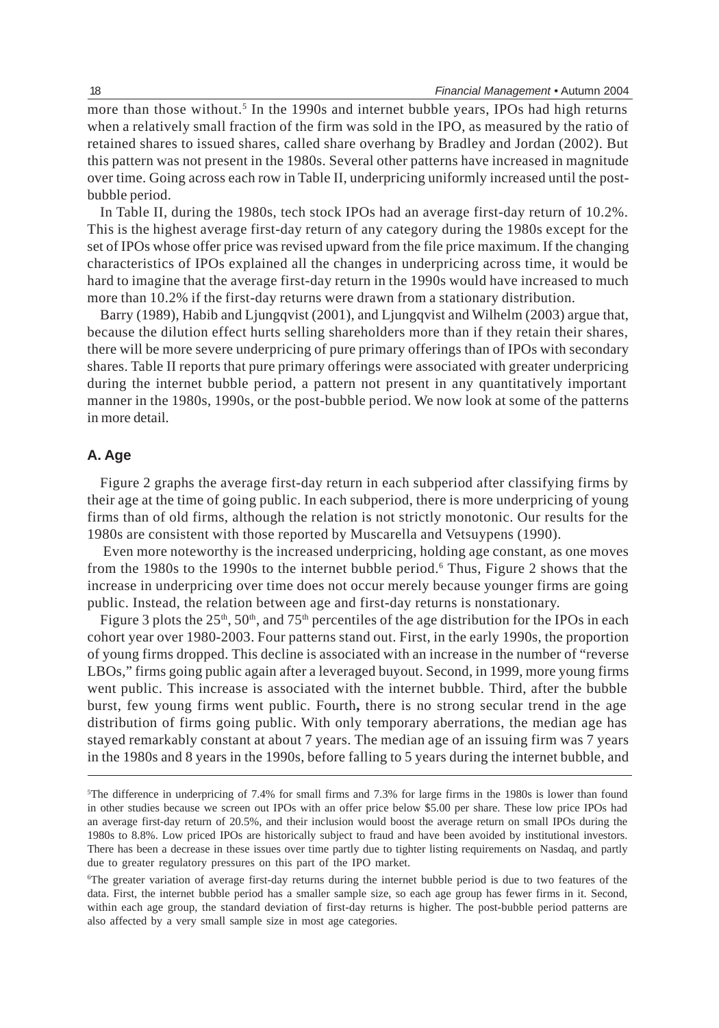more than those without.<sup>5</sup> In the 1990s and internet bubble years, IPOs had high returns when a relatively small fraction of the firm was sold in the IPO, as measured by the ratio of retained shares to issued shares, called share overhang by Bradley and Jordan (2002). But this pattern was not present in the 1980s. Several other patterns have increased in magnitude over time. Going across each row in Table II, underpricing uniformly increased until the postbubble period.

In Table II, during the 1980s, tech stock IPOs had an average first-day return of 10.2%. This is the highest average first-day return of any category during the 1980s except for the set of IPOs whose offer price was revised upward from the file price maximum. If the changing characteristics of IPOs explained all the changes in underpricing across time, it would be hard to imagine that the average first-day return in the 1990s would have increased to much more than 10.2% if the first-day returns were drawn from a stationary distribution.

Barry (1989), Habib and Ljungqvist (2001), and Ljungqvist and Wilhelm (2003) argue that, because the dilution effect hurts selling shareholders more than if they retain their shares, there will be more severe underpricing of pure primary offerings than of IPOs with secondary shares. Table II reports that pure primary offerings were associated with greater underpricing during the internet bubble period, a pattern not present in any quantitatively important manner in the 1980s, 1990s, or the post-bubble period. We now look at some of the patterns in more detail.

## **A. Age**

Figure 2 graphs the average first-day return in each subperiod after classifying firms by their age at the time of going public. In each subperiod, there is more underpricing of young firms than of old firms, although the relation is not strictly monotonic. Our results for the 1980s are consistent with those reported by Muscarella and Vetsuypens (1990).

 Even more noteworthy is the increased underpricing, holding age constant, as one moves from the 1980s to the 1990s to the internet bubble period.<sup>6</sup> Thus, Figure 2 shows that the increase in underpricing over time does not occur merely because younger firms are going public. Instead, the relation between age and first-day returns is nonstationary.

Figure 3 plots the  $25<sup>th</sup>$ ,  $50<sup>th</sup>$ , and  $75<sup>th</sup>$  percentiles of the age distribution for the IPOs in each cohort year over 1980-2003. Four patterns stand out. First, in the early 1990s, the proportion of young firms dropped. This decline is associated with an increase in the number of "reverse LBOs," firms going public again after a leveraged buyout. Second, in 1999, more young firms went public. This increase is associated with the internet bubble. Third, after the bubble burst, few young firms went public. Fourth**,** there is no strong secular trend in the age distribution of firms going public. With only temporary aberrations, the median age has stayed remarkably constant at about 7 years. The median age of an issuing firm was 7 years in the 1980s and 8 years in the 1990s, before falling to 5 years during the internet bubble, and

<sup>5</sup> The difference in underpricing of 7.4% for small firms and 7.3% for large firms in the 1980s is lower than found in other studies because we screen out IPOs with an offer price below \$5.00 per share. These low price IPOs had an average first-day return of 20.5%, and their inclusion would boost the average return on small IPOs during the 1980s to 8.8%. Low priced IPOs are historically subject to fraud and have been avoided by institutional investors. There has been a decrease in these issues over time partly due to tighter listing requirements on Nasdaq, and partly due to greater regulatory pressures on this part of the IPO market.

<sup>6</sup> The greater variation of average first-day returns during the internet bubble period is due to two features of the data. First, the internet bubble period has a smaller sample size, so each age group has fewer firms in it. Second, within each age group, the standard deviation of first-day returns is higher. The post-bubble period patterns are also affected by a very small sample size in most age categories.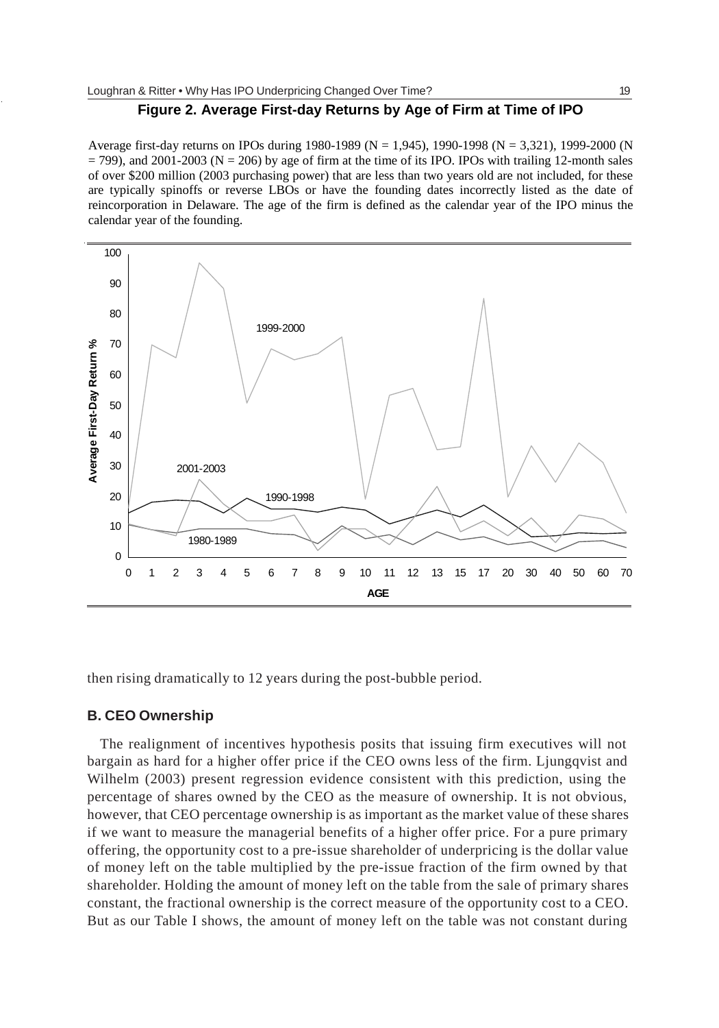## **Figure 2. Average First-day Returns by Age of Firm at Time of IPO**

Average first-day returns on IPOs during 1980-1989 (N = 1,945), 1990-1998 (N = 3,321), 1999-2000 (N  $=$  799), and 2001-2003 (N = 206) by age of firm at the time of its IPO. IPOs with trailing 12-month sales of over \$200 million (2003 purchasing power) that are less than two years old are not included, for these are typically spinoffs or reverse LBOs or have the founding dates incorrectly listed as the date of reincorporation in Delaware. The age of the firm is defined as the calendar year of the IPO minus the calendar year of the founding.



then rising dramatically to 12 years during the post-bubble period.

#### **B. CEO Ownership**

The realignment of incentives hypothesis posits that issuing firm executives will not bargain as hard for a higher offer price if the CEO owns less of the firm. Ljungqvist and Wilhelm (2003) present regression evidence consistent with this prediction, using the percentage of shares owned by the CEO as the measure of ownership. It is not obvious, however, that CEO percentage ownership is as important as the market value of these shares if we want to measure the managerial benefits of a higher offer price. For a pure primary offering, the opportunity cost to a pre-issue shareholder of underpricing is the dollar value of money left on the table multiplied by the pre-issue fraction of the firm owned by that shareholder. Holding the amount of money left on the table from the sale of primary shares constant, the fractional ownership is the correct measure of the opportunity cost to a CEO. But as our Table I shows, the amount of money left on the table was not constant during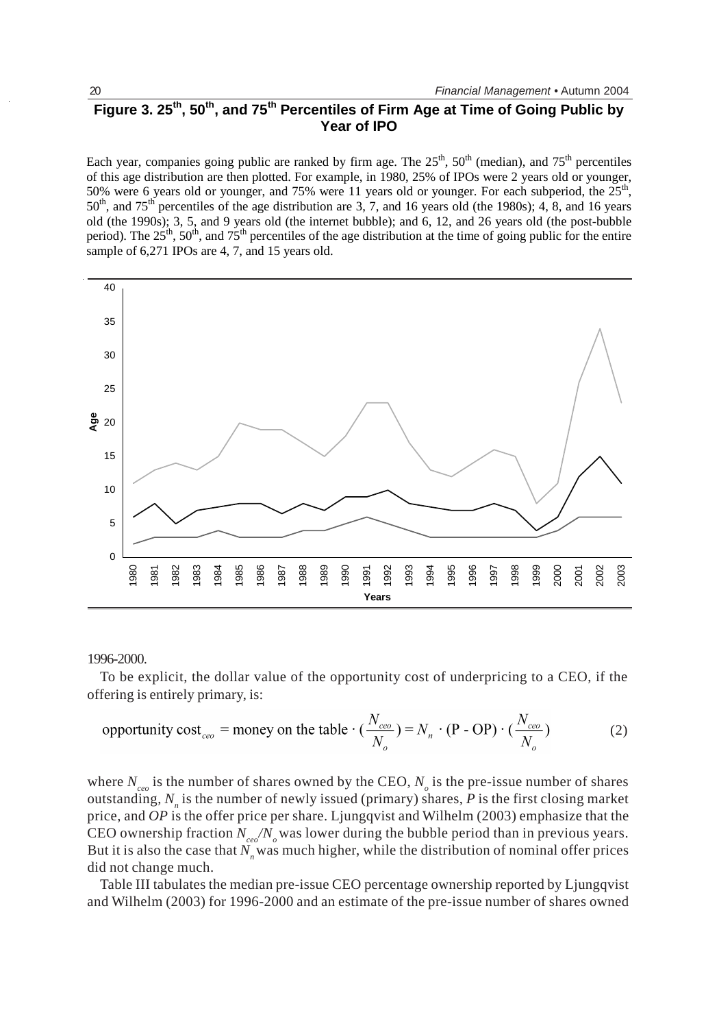# Figure 3. 25<sup>th</sup>, 50<sup>th</sup>, and 75<sup>th</sup> Percentiles of Firm Age at Time of Going Public by **Year of IPO**

Each year, companies going public are ranked by firm age. The  $25<sup>th</sup>$ ,  $50<sup>th</sup>$  (median), and  $75<sup>th</sup>$  percentiles of this age distribution are then plotted. For example, in 1980, 25% of IPOs were 2 years old or younger, 50% were 6 years old or younger, and 75% were 11 years old or younger. For each subperiod, the 25<sup>th</sup>,  $50<sup>th</sup>$ , and  $75<sup>th</sup>$  percentiles of the age distribution are 3, 7, and 16 years old (the 1980s); 4, 8, and 16 years old (the 1990s); 3, 5, and 9 years old (the internet bubble); and 6, 12, and 26 years old (the post-bubble period). The  $25^{th}$ ,  $50^{th}$ , and  $75^{th}$  percentiles of the age distribution at the time of going public for the entire sample of 6,271 IPOs are 4, 7, and 15 years old.



#### 1996-2000.

To be explicit, the dollar value of the opportunity cost of underpricing to a CEO, if the offering is entirely primary, is:

$$
\text{opportunity cost}_{ceo} = \text{money on the table} \cdot (\frac{N_{ceo}}{N_o}) = N_n \cdot (\text{P - OP}) \cdot (\frac{N_{ceo}}{N_o}) \tag{2}
$$

where  $N_{ceo}$  is the number of shares owned by the CEO,  $N_o$  is the pre-issue number of shares outstanding,  $N_n$  is the number of newly issued (primary) shares,  $\vec{P}$  is the first closing market price, and *OP* is the offer price per share. Ljungqvist and Wilhelm (2003) emphasize that the CEO ownership fraction  $N_{ce}/N_{o}$  was lower during the bubble period than in previous years. But it is also the case that  $N<sub>n</sub>$  was much higher, while the distribution of nominal offer prices did not change much.

Table III tabulates the median pre-issue CEO percentage ownership reported by Ljungqvist and Wilhelm (2003) for 1996-2000 and an estimate of the pre-issue number of shares owned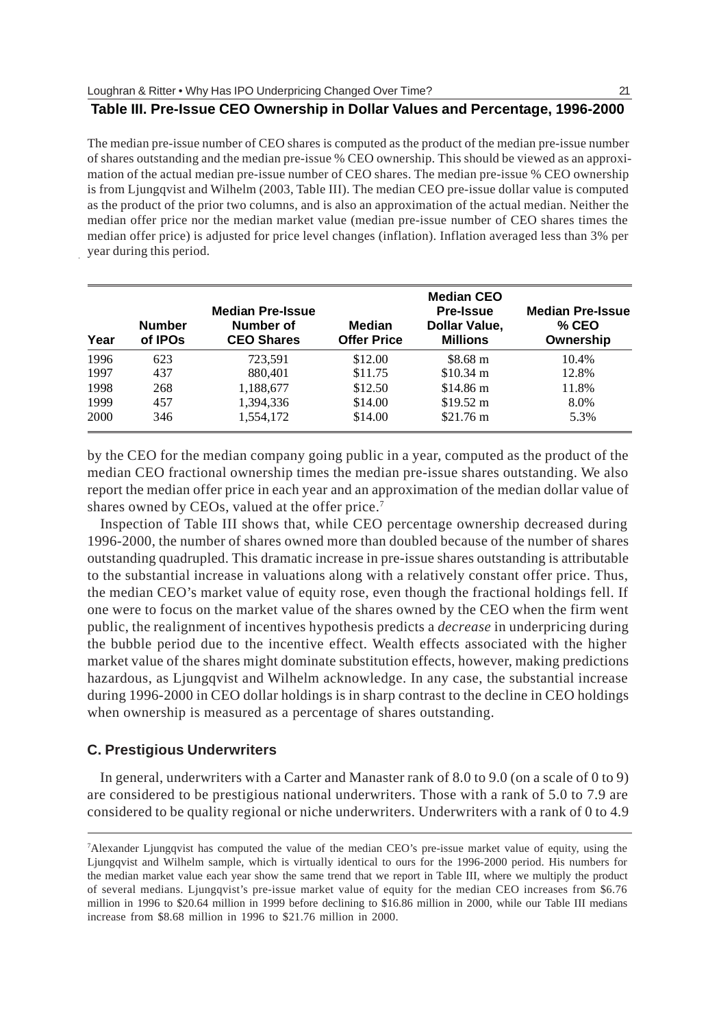## **Table III. Pre-Issue CEO Ownership in Dollar Values and Percentage, 1996-2000**

The median pre-issue number of CEO shares is computed as the product of the median pre-issue number of shares outstanding and the median pre-issue % CEO ownership. This should be viewed as an approximation of the actual median pre-issue number of CEO shares. The median pre-issue % CEO ownership is from Ljungqvist and Wilhelm (2003, Table III). The median CEO pre-issue dollar value is computed as the product of the prior two columns, and is also an approximation of the actual median. Neither the median offer price nor the median market value (median pre-issue number of CEO shares times the median offer price) is adjusted for price level changes (inflation). Inflation averaged less than 3% per year during this period.

| Year | <b>Number</b><br>of IPO <sub>s</sub> | <b>Median Pre-Issue</b><br>Number of<br><b>CEO Shares</b> | <b>Median</b><br><b>Offer Price</b> | <b>Median CEO</b><br><b>Pre-Issue</b><br>Dollar Value,<br><b>Millions</b> | <b>Median Pre-Issue</b><br>$%$ CEO<br>Ownership |
|------|--------------------------------------|-----------------------------------------------------------|-------------------------------------|---------------------------------------------------------------------------|-------------------------------------------------|
| 1996 | 623                                  | 723.591                                                   | \$12.00                             | \$8.68 m                                                                  | 10.4%                                           |
| 1997 | 437                                  | 880,401                                                   | \$11.75                             | $$10.34 \text{ m}$                                                        | 12.8%                                           |
| 1998 | 268                                  | 1,188,677                                                 | \$12.50                             | $$14.86 \text{ m}$                                                        | 11.8%                                           |
| 1999 | 457                                  | 1.394.336                                                 | \$14.00                             | $$19.52 \text{ m}$                                                        | 8.0%                                            |
| 2000 | 346                                  | 1.554.172                                                 | \$14.00                             | $$21.76 \text{ m}$                                                        | 5.3%                                            |

by the CEO for the median company going public in a year, computed as the product of the median CEO fractional ownership times the median pre-issue shares outstanding. We also report the median offer price in each year and an approximation of the median dollar value of shares owned by CEOs, valued at the offer price.<sup>7</sup>

Inspection of Table III shows that, while CEO percentage ownership decreased during 1996-2000, the number of shares owned more than doubled because of the number of shares outstanding quadrupled. This dramatic increase in pre-issue shares outstanding is attributable to the substantial increase in valuations along with a relatively constant offer price. Thus, the median CEO's market value of equity rose, even though the fractional holdings fell. If one were to focus on the market value of the shares owned by the CEO when the firm went public, the realignment of incentives hypothesis predicts a *decrease* in underpricing during the bubble period due to the incentive effect. Wealth effects associated with the higher market value of the shares might dominate substitution effects, however, making predictions hazardous, as Ljungqvist and Wilhelm acknowledge. In any case, the substantial increase during 1996-2000 in CEO dollar holdings is in sharp contrast to the decline in CEO holdings when ownership is measured as a percentage of shares outstanding.

#### **C. Prestigious Underwriters**

In general, underwriters with a Carter and Manaster rank of 8.0 to 9.0 (on a scale of 0 to 9) are considered to be prestigious national underwriters. Those with a rank of 5.0 to 7.9 are considered to be quality regional or niche underwriters. Underwriters with a rank of 0 to 4.9

<sup>7</sup> Alexander Ljungqvist has computed the value of the median CEO's pre-issue market value of equity, using the Ljungqvist and Wilhelm sample, which is virtually identical to ours for the 1996-2000 period. His numbers for the median market value each year show the same trend that we report in Table III, where we multiply the product of several medians. Ljungqvist's pre-issue market value of equity for the median CEO increases from \$6.76 million in 1996 to \$20.64 million in 1999 before declining to \$16.86 million in 2000, while our Table III medians increase from \$8.68 million in 1996 to \$21.76 million in 2000.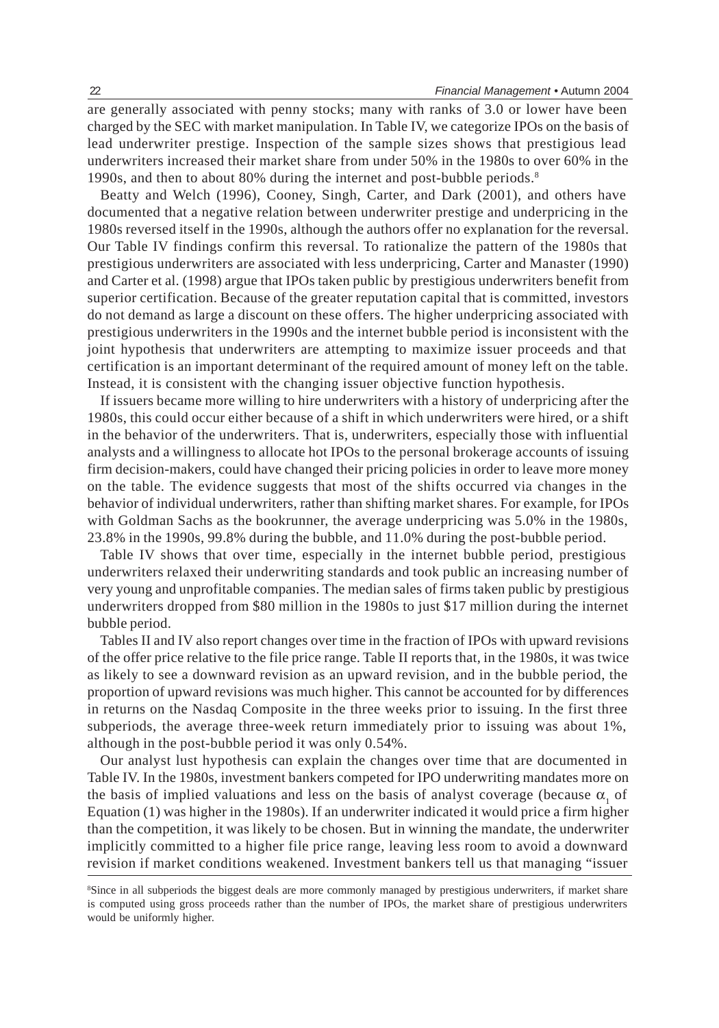are generally associated with penny stocks; many with ranks of 3.0 or lower have been charged by the SEC with market manipulation. In Table IV, we categorize IPOs on the basis of lead underwriter prestige. Inspection of the sample sizes shows that prestigious lead underwriters increased their market share from under 50% in the 1980s to over 60% in the 1990s, and then to about 80% during the internet and post-bubble periods.<sup>8</sup>

Beatty and Welch (1996), Cooney, Singh, Carter, and Dark (2001), and others have documented that a negative relation between underwriter prestige and underpricing in the 1980s reversed itself in the 1990s, although the authors offer no explanation for the reversal. Our Table IV findings confirm this reversal. To rationalize the pattern of the 1980s that prestigious underwriters are associated with less underpricing, Carter and Manaster (1990) and Carter et al. (1998) argue that IPOs taken public by prestigious underwriters benefit from superior certification. Because of the greater reputation capital that is committed, investors do not demand as large a discount on these offers. The higher underpricing associated with prestigious underwriters in the 1990s and the internet bubble period is inconsistent with the joint hypothesis that underwriters are attempting to maximize issuer proceeds and that certification is an important determinant of the required amount of money left on the table. Instead, it is consistent with the changing issuer objective function hypothesis.

If issuers became more willing to hire underwriters with a history of underpricing after the 1980s, this could occur either because of a shift in which underwriters were hired, or a shift in the behavior of the underwriters. That is, underwriters, especially those with influential analysts and a willingness to allocate hot IPOs to the personal brokerage accounts of issuing firm decision-makers, could have changed their pricing policies in order to leave more money on the table. The evidence suggests that most of the shifts occurred via changes in the behavior of individual underwriters, rather than shifting market shares. For example, for IPOs with Goldman Sachs as the bookrunner, the average underpricing was 5.0% in the 1980s, 23.8% in the 1990s, 99.8% during the bubble, and 11.0% during the post-bubble period.

Table IV shows that over time, especially in the internet bubble period, prestigious underwriters relaxed their underwriting standards and took public an increasing number of very young and unprofitable companies. The median sales of firms taken public by prestigious underwriters dropped from \$80 million in the 1980s to just \$17 million during the internet bubble period.

Tables II and IV also report changes over time in the fraction of IPOs with upward revisions of the offer price relative to the file price range. Table II reports that, in the 1980s, it was twice as likely to see a downward revision as an upward revision, and in the bubble period, the proportion of upward revisions was much higher. This cannot be accounted for by differences in returns on the Nasdaq Composite in the three weeks prior to issuing. In the first three subperiods, the average three-week return immediately prior to issuing was about 1%, although in the post-bubble period it was only 0.54%.

Our analyst lust hypothesis can explain the changes over time that are documented in Table IV. In the 1980s, investment bankers competed for IPO underwriting mandates more on the basis of implied valuations and less on the basis of analyst coverage (because  $\alpha_1$  of Equation (1) was higher in the 1980s). If an underwriter indicated it would price a firm higher than the competition, it was likely to be chosen. But in winning the mandate, the underwriter implicitly committed to a higher file price range, leaving less room to avoid a downward revision if market conditions weakened. Investment bankers tell us that managing "issuer

<sup>8</sup> Since in all subperiods the biggest deals are more commonly managed by prestigious underwriters, if market share is computed using gross proceeds rather than the number of IPOs, the market share of prestigious underwriters would be uniformly higher.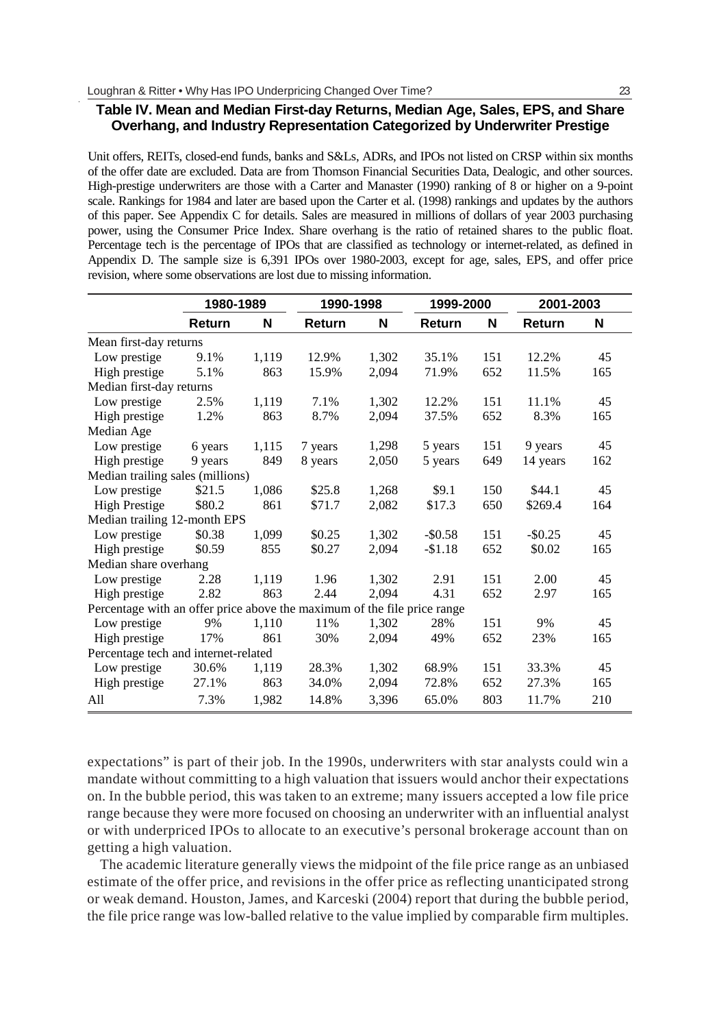## **Table IV. Mean and Median First-day Returns, Median Age, Sales, EPS, and Share Overhang, and Industry Representation Categorized by Underwriter Prestige**

Unit offers, REITs, closed-end funds, banks and S&Ls, ADRs, and IPOs not listed on CRSP within six months of the offer date are excluded. Data are from Thomson Financial Securities Data, Dealogic, and other sources. High-prestige underwriters are those with a Carter and Manaster (1990) ranking of 8 or higher on a 9-point scale. Rankings for 1984 and later are based upon the Carter et al. (1998) rankings and updates by the authors of this paper. See Appendix C for details. Sales are measured in millions of dollars of year 2003 purchasing power, using the Consumer Price Index. Share overhang is the ratio of retained shares to the public float. Percentage tech is the percentage of IPOs that are classified as technology or internet-related, as defined in Appendix D. The sample size is 6,391 IPOs over 1980-2003, except for age, sales, EPS, and offer price revision, where some observations are lost due to missing information.

|                                                                          | 1980-1989 |       | 1990-1998 |       | 1999-2000 |     | 2001-2003  |     |
|--------------------------------------------------------------------------|-----------|-------|-----------|-------|-----------|-----|------------|-----|
|                                                                          | Return    | N     | Return    | N     | Return    | N   | Return     | N   |
| Mean first-day returns                                                   |           |       |           |       |           |     |            |     |
| Low prestige                                                             | 9.1%      | 1,119 | 12.9%     | 1,302 | 35.1%     | 151 | 12.2%      | 45  |
| High prestige                                                            | 5.1%      | 863   | 15.9%     | 2,094 | 71.9%     | 652 | 11.5%      | 165 |
| Median first-day returns                                                 |           |       |           |       |           |     |            |     |
| Low prestige                                                             | 2.5%      | 1,119 | 7.1%      | 1,302 | 12.2%     | 151 | 11.1%      | 45  |
| High prestige                                                            | 1.2%      | 863   | 8.7%      | 2,094 | 37.5%     | 652 | 8.3%       | 165 |
| Median Age                                                               |           |       |           |       |           |     |            |     |
| Low prestige                                                             | 6 years   | 1,115 | 7 years   | 1,298 | 5 years   | 151 | 9 years    | 45  |
| High prestige                                                            | 9 years   | 849   | 8 years   | 2,050 | 5 years   | 649 | 14 years   | 162 |
| Median trailing sales (millions)                                         |           |       |           |       |           |     |            |     |
| Low prestige                                                             | \$21.5    | 1,086 | \$25.8    | 1,268 | \$9.1     | 150 | \$44.1     | 45  |
| <b>High Prestige</b>                                                     | \$80.2    | 861   | \$71.7    | 2,082 | \$17.3    | 650 | \$269.4    | 164 |
| Median trailing 12-month EPS                                             |           |       |           |       |           |     |            |     |
| Low prestige                                                             | \$0.38    | 1,099 | \$0.25    | 1,302 | $-$0.58$  | 151 | $-$ \$0.25 | 45  |
| High prestige                                                            | \$0.59    | 855   | \$0.27    | 2,094 | $-$1.18$  | 652 | \$0.02     | 165 |
| Median share overhang                                                    |           |       |           |       |           |     |            |     |
| Low prestige                                                             | 2.28      | 1,119 | 1.96      | 1,302 | 2.91      | 151 | 2.00       | 45  |
| High prestige                                                            | 2.82      | 863   | 2.44      | 2,094 | 4.31      | 652 | 2.97       | 165 |
| Percentage with an offer price above the maximum of the file price range |           |       |           |       |           |     |            |     |
| Low prestige                                                             | 9%        | 1,110 | 11%       | 1.302 | 28%       | 151 | 9%         | 45  |
| High prestige                                                            | 17%       | 861   | 30%       | 2.094 | 49%       | 652 | 23%        | 165 |
| Percentage tech and internet-related                                     |           |       |           |       |           |     |            |     |
| Low prestige                                                             | 30.6%     | 1,119 | 28.3%     | 1,302 | 68.9%     | 151 | 33.3%      | 45  |
| High prestige                                                            | 27.1%     | 863   | 34.0%     | 2,094 | 72.8%     | 652 | 27.3%      | 165 |
| All                                                                      | 7.3%      | 1,982 | 14.8%     | 3,396 | 65.0%     | 803 | 11.7%      | 210 |

expectations" is part of their job. In the 1990s, underwriters with star analysts could win a mandate without committing to a high valuation that issuers would anchor their expectations on. In the bubble period, this was taken to an extreme; many issuers accepted a low file price range because they were more focused on choosing an underwriter with an influential analyst or with underpriced IPOs to allocate to an executive's personal brokerage account than on getting a high valuation.

The academic literature generally views the midpoint of the file price range as an unbiased estimate of the offer price, and revisions in the offer price as reflecting unanticipated strong or weak demand. Houston, James, and Karceski (2004) report that during the bubble period, the file price range was low-balled relative to the value implied by comparable firm multiples.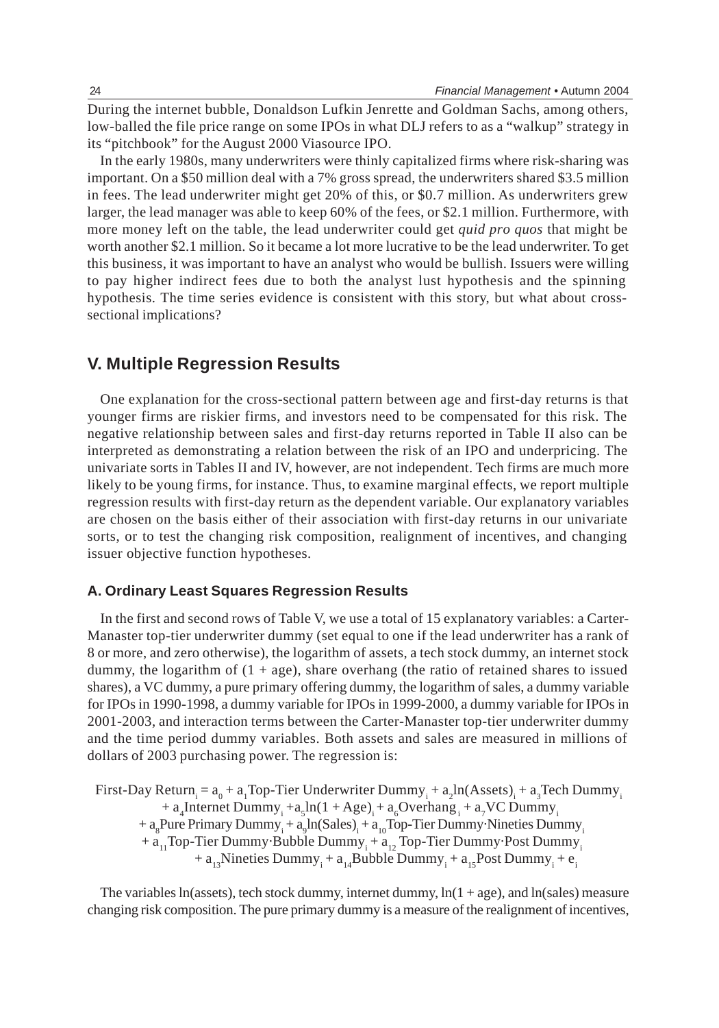During the internet bubble, Donaldson Lufkin Jenrette and Goldman Sachs, among others, low-balled the file price range on some IPOs in what DLJ refers to as a "walkup" strategy in its "pitchbook" for the August 2000 Viasource IPO.

In the early 1980s, many underwriters were thinly capitalized firms where risk-sharing was important. On a \$50 million deal with a 7% gross spread, the underwriters shared \$3.5 million in fees. The lead underwriter might get 20% of this, or \$0.7 million. As underwriters grew larger, the lead manager was able to keep 60% of the fees, or \$2.1 million. Furthermore, with more money left on the table, the lead underwriter could get *quid pro quos* that might be worth another \$2.1 million. So it became a lot more lucrative to be the lead underwriter. To get this business, it was important to have an analyst who would be bullish. Issuers were willing to pay higher indirect fees due to both the analyst lust hypothesis and the spinning hypothesis. The time series evidence is consistent with this story, but what about crosssectional implications?

## **V. Multiple Regression Results**

One explanation for the cross-sectional pattern between age and first-day returns is that younger firms are riskier firms, and investors need to be compensated for this risk. The negative relationship between sales and first-day returns reported in Table II also can be interpreted as demonstrating a relation between the risk of an IPO and underpricing. The univariate sorts in Tables II and IV, however, are not independent. Tech firms are much more likely to be young firms, for instance. Thus, to examine marginal effects, we report multiple regression results with first-day return as the dependent variable. Our explanatory variables are chosen on the basis either of their association with first-day returns in our univariate sorts, or to test the changing risk composition, realignment of incentives, and changing issuer objective function hypotheses.

#### **A. Ordinary Least Squares Regression Results**

In the first and second rows of Table V, we use a total of 15 explanatory variables: a Carter-Manaster top-tier underwriter dummy (set equal to one if the lead underwriter has a rank of 8 or more, and zero otherwise), the logarithm of assets, a tech stock dummy, an internet stock dummy, the logarithm of  $(1 + age)$ , share overhang (the ratio of retained shares to issued shares), a VC dummy, a pure primary offering dummy, the logarithm of sales, a dummy variable for IPOs in 1990-1998, a dummy variable for IPOs in 1999-2000, a dummy variable for IPOs in 2001-2003, and interaction terms between the Carter-Manaster top-tier underwriter dummy and the time period dummy variables. Both assets and sales are measured in millions of dollars of 2003 purchasing power. The regression is:

First-Day Return<sub>i</sub> =  $a_0 + a_1$ Top-Tier Underwriter Dummy<sub>i</sub> +  $a_2$ ln(Assets)<sub>i</sub> +  $a_3$ Tech Dummy<sub>i</sub> +  $a_4$ Internet Dummy<sub>i</sub> +  $a_5$ ln(1 + Age)<sub>i</sub> +  $a_6$ Overhang<sub>i</sub> +  $a_7$ VC Dummy<sub>i</sub> + a<sub>8</sub>Pure Primary Dummy<sub>i</sub> + a<sub>9</sub>ln(Sales)<sub>i</sub> + a<sub>10</sub>Top-Tier Dummy·Nineties Dummy<sub>i</sub> +  $a_{11}$ Top-Tier Dummy·Bubble Dummy<sub>i</sub> +  $a_{12}$  Top-Tier Dummy·Post Dummy<sub>i</sub> +  $a_{13}$ Nineties Dummy<sub>i</sub> +  $a_{14}$ Bubble Dummy<sub>i</sub> +  $a_{15}$ Post Dummy<sub>i</sub> +  $e_i$ 

The variables ln(assets), tech stock dummy, internet dummy,  $ln(1 + age)$ , and  $ln(sales)$  measure changing risk composition. The pure primary dummy is a measure of the realignment of incentives,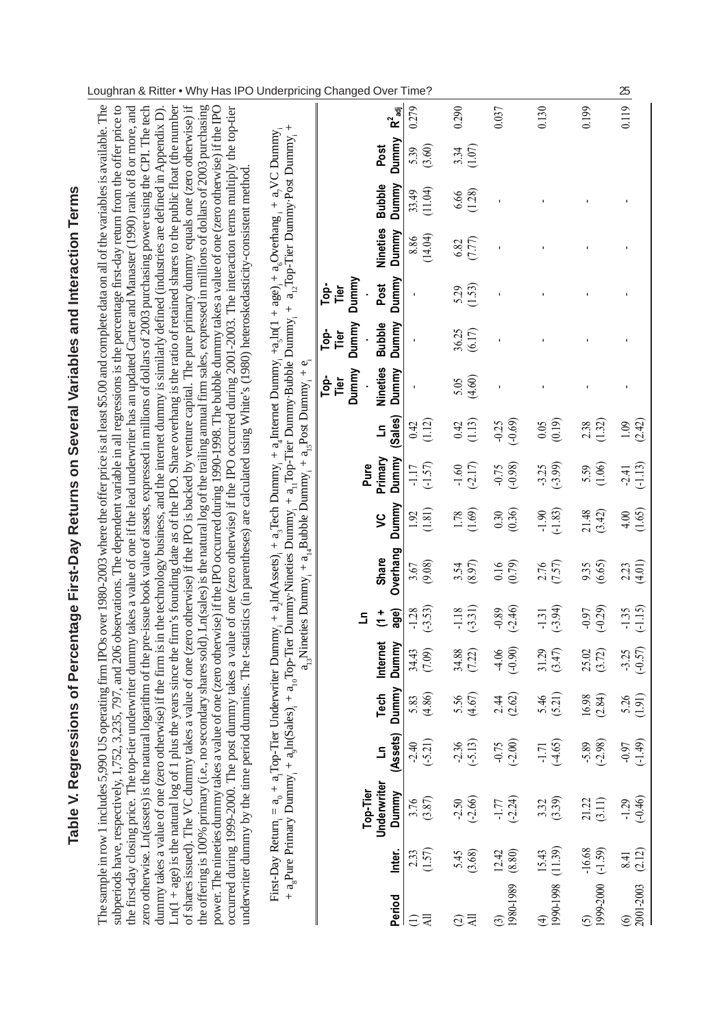| of shares issued). The VC dummy takes a value of one (zero otherwise) if the IPO is backed by venture capital. The pure primary dummy equals one (zero otherwise) if<br>the offering is 100% primary (i.e., no secondary shares sold). Ln(sales) is the natural log of the trailing annual firm sales, expressed in millions of dollars of 2003 purchasing<br>$Ln(1 + age)$ is the natural $log of 1$ plus the years since the firm's founding date as of the IPO. Share overhang is the ratio of retained shares to the public float (the number<br>zero otherwise. Ln(assets) is the natural logarithm of the pre-issue book value of assets, expressed in millions of dollars of 2003 purchasing power using the CPI. The tech<br>power. The nineties dummy takes a value of one (zero otherwise) if the IPO occurred during 1990-1998. The bubble dummy takes a value of one (zero otherwise) if the IPO<br>the first-day closing price. The top-tier underwriter dummy takes a value of one if the lead underwriter has an updated Carter and Manaster (1990) rank of 8 or more, and<br>dummy takes a value of one (zero otherwise) if the firm is in the technology business, and the internet dummy is similarly defined (industries are defined in Appendix D).<br>dummy takes a value of one (zero otherwise) if the IPO occurred during 2001-2003. The interaction terms multiply the top-tier<br>underwriter dummy by the time period dummies. The t-statistics (in parentheses) are calculated using White's (1980) heteroskedasticity-consistent method | Table V. Regres<br>subperiods have, respectively, 1,752,<br>The sample in row 1 includes 5,990 U                                 |  |  |                       | S operating firm IPOs over 1980-2003 where the offer price is at least \$5.00 and complete data on all of the variables is available. The<br>3,235, 797, and 206 observations. The dependent variable in all regressions is the percentage first-day return from the offer price to<br>sions of Percentage First-Day Returns on Several Variables and Interaction Terms |                      |                      |                      |                       |                        |                             |                 |                        |                |           |
|----------------------------------------------------------------------------------------------------------------------------------------------------------------------------------------------------------------------------------------------------------------------------------------------------------------------------------------------------------------------------------------------------------------------------------------------------------------------------------------------------------------------------------------------------------------------------------------------------------------------------------------------------------------------------------------------------------------------------------------------------------------------------------------------------------------------------------------------------------------------------------------------------------------------------------------------------------------------------------------------------------------------------------------------------------------------------------------------------------------------------------------------------------------------------------------------------------------------------------------------------------------------------------------------------------------------------------------------------------------------------------------------------------------------------------------------------------------------------------------------------------------------------------------------------------------------|----------------------------------------------------------------------------------------------------------------------------------|--|--|-----------------------|-------------------------------------------------------------------------------------------------------------------------------------------------------------------------------------------------------------------------------------------------------------------------------------------------------------------------------------------------------------------------|----------------------|----------------------|----------------------|-----------------------|------------------------|-----------------------------|-----------------|------------------------|----------------|-----------|
|                                                                                                                                                                                                                                                                                                                                                                                                                                                                                                                                                                                                                                                                                                                                                                                                                                                                                                                                                                                                                                                                                                                                                                                                                                                                                                                                                                                                                                                                                                                                                                      | occurred during 1999-2000. The post                                                                                              |  |  |                       |                                                                                                                                                                                                                                                                                                                                                                         |                      |                      |                      |                       |                        |                             |                 |                        |                |           |
|                                                                                                                                                                                                                                                                                                                                                                                                                                                                                                                                                                                                                                                                                                                                                                                                                                                                                                                                                                                                                                                                                                                                                                                                                                                                                                                                                                                                                                                                                                                                                                      |                                                                                                                                  |  |  |                       |                                                                                                                                                                                                                                                                                                                                                                         |                      |                      |                      | Dummy<br>Top-<br>Tier | Dummy<br>-aoT<br>Tier  | Dummy<br>-ad<br>Lop<br>Tier |                 |                        |                |           |
|                                                                                                                                                                                                                                                                                                                                                                                                                                                                                                                                                                                                                                                                                                                                                                                                                                                                                                                                                                                                                                                                                                                                                                                                                                                                                                                                                                                                                                                                                                                                                                      | Internet<br>Dummy<br>Dummy<br>Tech<br>(Assets)<br><u>ء</u><br>Underwriter<br>Top-Tier<br>Dummy<br>Inter.                         |  |  | age)<br>$\frac{1}{2}$ | Overhang<br><b>Share</b>                                                                                                                                                                                                                                                                                                                                                | S                    | Primary<br>Dummy     | (Sales)<br>3         | <b>Nineties</b>       | Dummy<br><b>Bubble</b> | Dummy<br>Post               | <b>Nineties</b> | Dummy<br><b>Bubble</b> | Dummy<br>Post  | $R^2$ adj |
| Pure                                                                                                                                                                                                                                                                                                                                                                                                                                                                                                                                                                                                                                                                                                                                                                                                                                                                                                                                                                                                                                                                                                                                                                                                                                                                                                                                                                                                                                                                                                                                                                 | $-1.28$<br>34.43<br>5.83<br>(4.86)<br>$-2.40$<br>$3.76$<br>$(3.87)$<br>2.33                                                      |  |  |                       | 3.67                                                                                                                                                                                                                                                                                                                                                                    | 1.92                 | $-1.17$              | 0.42                 |                       |                        |                             | 8.86            | 33.49                  | 5.39           | 0.279     |
| Dummy<br>Dummy<br>Dummy                                                                                                                                                                                                                                                                                                                                                                                                                                                                                                                                                                                                                                                                                                                                                                                                                                                                                                                                                                                                                                                                                                                                                                                                                                                                                                                                                                                                                                                                                                                                              | $(-3.53)$<br>(7.09)<br>$(-5.21)$<br>(1.57)                                                                                       |  |  |                       |                                                                                                                                                                                                                                                                                                                                                                         |                      |                      |                      |                       |                        |                             |                 |                        | (3.60)         |           |
| (11.04)<br>(14.04)<br>(1.12)<br>$(-1.57)$<br>(1.81)<br>(9.08)                                                                                                                                                                                                                                                                                                                                                                                                                                                                                                                                                                                                                                                                                                                                                                                                                                                                                                                                                                                                                                                                                                                                                                                                                                                                                                                                                                                                                                                                                                        | $(-3.31)$<br>$-1.18$<br>34.88<br>(7.22)<br>(4.67)<br>5.56<br>$-2.36$<br>$(-5.13)$<br>$(-2.66)$<br>$-2.50$<br>(3.68)<br>5.45      |  |  |                       | (8.97)<br>3.54                                                                                                                                                                                                                                                                                                                                                          | $1.78$<br>(1.69)     | $(-2.17)$<br>$-1.60$ | (1.13)<br>0.42       | (4.60)<br>5.05        | (6.17)<br>36.25        | (1.53)<br>5.29              | (7.77)<br>6.82  | (1.28)<br>6.66         | (1.07)<br>3.34 | 0.290     |
|                                                                                                                                                                                                                                                                                                                                                                                                                                                                                                                                                                                                                                                                                                                                                                                                                                                                                                                                                                                                                                                                                                                                                                                                                                                                                                                                                                                                                                                                                                                                                                      | $(-2.46)$<br>$-0.89$<br>(0.90)<br>4.06<br>(2.62)<br>2.44<br>$-0.75$<br>$(-2.00)$<br>$(-2.24)$<br>$-1.77$<br>12.42<br>(8.80)      |  |  |                       | (6.79)                                                                                                                                                                                                                                                                                                                                                                  | (0.36)<br>0.30       | (.0.98)<br>$-0.75$   | $(-0.69)$<br>$-0.25$ |                       |                        |                             |                 |                        |                | 0.037     |
|                                                                                                                                                                                                                                                                                                                                                                                                                                                                                                                                                                                                                                                                                                                                                                                                                                                                                                                                                                                                                                                                                                                                                                                                                                                                                                                                                                                                                                                                                                                                                                      | (.3.94)<br>$-1.31$<br>31.29<br>(3.47)<br>(5.21)<br>5.46<br>$(-4.65)$<br>$-1.71$<br>(3.39)<br>3.32<br>(11.39)<br>15.43            |  |  |                       | (7.57)<br>2.76                                                                                                                                                                                                                                                                                                                                                          | $(-1.83)$<br>$-1.90$ | $(-3.99)$<br>$-3.25$ | (0.19)<br>0.05       |                       |                        |                             |                 |                        |                | 0.130     |
|                                                                                                                                                                                                                                                                                                                                                                                                                                                                                                                                                                                                                                                                                                                                                                                                                                                                                                                                                                                                                                                                                                                                                                                                                                                                                                                                                                                                                                                                                                                                                                      | $(-0.29)$<br>0.97<br>25.02<br>(3.72)<br>16.98<br>(2.84)<br>$-5.89$<br>$(-2.98)$<br>$(3.11)$<br>21.22<br>$-16.68$<br>$(-1.59)$    |  |  |                       | 9.35<br>(6.65)                                                                                                                                                                                                                                                                                                                                                          | 21.48<br>(3.42)      | (1.06)<br>5.59       | 1.32)<br>2.38        |                       |                        |                             |                 |                        |                | 0.199     |
|                                                                                                                                                                                                                                                                                                                                                                                                                                                                                                                                                                                                                                                                                                                                                                                                                                                                                                                                                                                                                                                                                                                                                                                                                                                                                                                                                                                                                                                                                                                                                                      | $(-1.15)$<br>$-1.35$<br>$-3.25$<br>(-0.57)<br>$5.26$<br>(1.91)<br>$-0.97$<br>$(-1.49)$<br>$(-0.46)$<br>$-1.29$<br>(2.12)<br>8.41 |  |  |                       | $2.23$<br>(4.01)                                                                                                                                                                                                                                                                                                                                                        | (1.65)<br>4.00       | $(-1.13)$<br>$-2.41$ | (2.42)<br>1.09       |                       |                        |                             |                 |                        |                | 0.119     |

## Loughran & Ritter • Why Has IPO Underpricing Changed Over Time? 25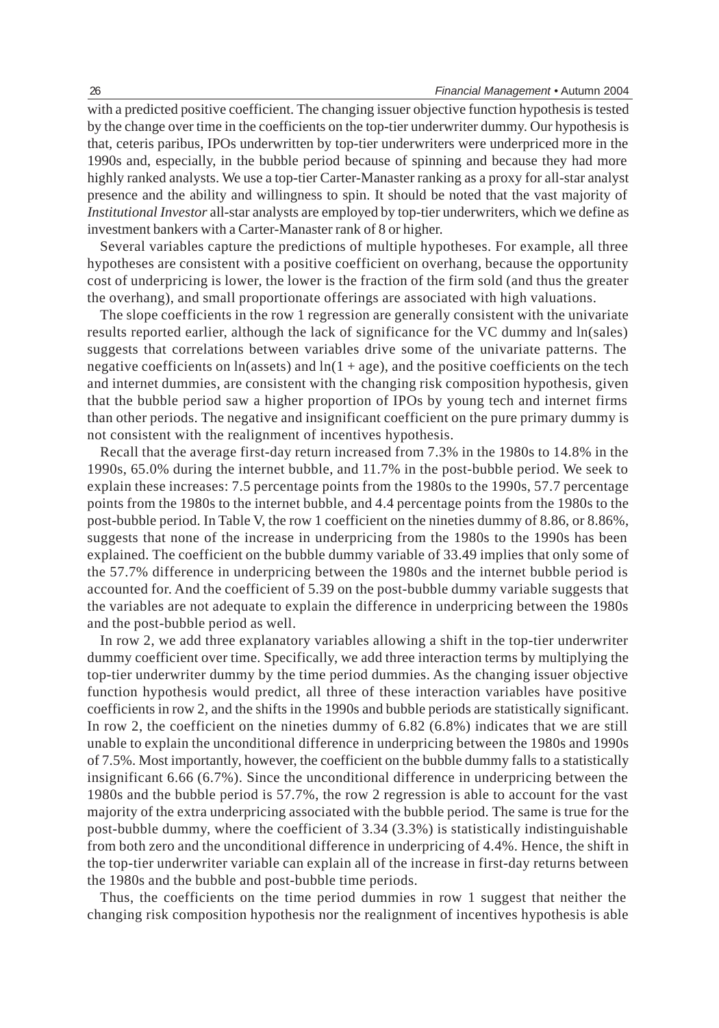with a predicted positive coefficient. The changing issuer objective function hypothesis is tested by the change over time in the coefficients on the top-tier underwriter dummy. Our hypothesis is that, ceteris paribus, IPOs underwritten by top-tier underwriters were underpriced more in the 1990s and, especially, in the bubble period because of spinning and because they had more highly ranked analysts. We use a top-tier Carter-Manaster ranking as a proxy for all-star analyst presence and the ability and willingness to spin. It should be noted that the vast majority of *Institutional Investor* all-star analysts are employed by top-tier underwriters, which we define as investment bankers with a Carter-Manaster rank of 8 or higher.

Several variables capture the predictions of multiple hypotheses. For example, all three hypotheses are consistent with a positive coefficient on overhang, because the opportunity cost of underpricing is lower, the lower is the fraction of the firm sold (and thus the greater the overhang), and small proportionate offerings are associated with high valuations.

The slope coefficients in the row 1 regression are generally consistent with the univariate results reported earlier, although the lack of significance for the VC dummy and ln(sales) suggests that correlations between variables drive some of the univariate patterns. The negative coefficients on  $ln(\text{asserts})$  and  $ln(1 + \text{age})$ , and the positive coefficients on the tech and internet dummies, are consistent with the changing risk composition hypothesis, given that the bubble period saw a higher proportion of IPOs by young tech and internet firms than other periods. The negative and insignificant coefficient on the pure primary dummy is not consistent with the realignment of incentives hypothesis.

Recall that the average first-day return increased from 7.3% in the 1980s to 14.8% in the 1990s, 65.0% during the internet bubble, and 11.7% in the post-bubble period. We seek to explain these increases: 7.5 percentage points from the 1980s to the 1990s, 57.7 percentage points from the 1980s to the internet bubble, and 4.4 percentage points from the 1980s to the post-bubble period. In Table V, the row 1 coefficient on the nineties dummy of 8.86, or 8.86%, suggests that none of the increase in underpricing from the 1980s to the 1990s has been explained. The coefficient on the bubble dummy variable of 33.49 implies that only some of the 57.7% difference in underpricing between the 1980s and the internet bubble period is accounted for. And the coefficient of 5.39 on the post-bubble dummy variable suggests that the variables are not adequate to explain the difference in underpricing between the 1980s and the post-bubble period as well.

In row 2, we add three explanatory variables allowing a shift in the top-tier underwriter dummy coefficient over time. Specifically, we add three interaction terms by multiplying the top-tier underwriter dummy by the time period dummies. As the changing issuer objective function hypothesis would predict, all three of these interaction variables have positive coefficients in row 2, and the shifts in the 1990s and bubble periods are statistically significant. In row 2, the coefficient on the nineties dummy of 6.82 (6.8%) indicates that we are still unable to explain the unconditional difference in underpricing between the 1980s and 1990s of 7.5%. Most importantly, however, the coefficient on the bubble dummy falls to a statistically insignificant 6.66 (6.7%). Since the unconditional difference in underpricing between the 1980s and the bubble period is 57.7%, the row 2 regression is able to account for the vast majority of the extra underpricing associated with the bubble period. The same is true for the post-bubble dummy, where the coefficient of 3.34 (3.3%) is statistically indistinguishable from both zero and the unconditional difference in underpricing of 4.4%. Hence, the shift in the top-tier underwriter variable can explain all of the increase in first-day returns between the 1980s and the bubble and post-bubble time periods.

Thus, the coefficients on the time period dummies in row 1 suggest that neither the changing risk composition hypothesis nor the realignment of incentives hypothesis is able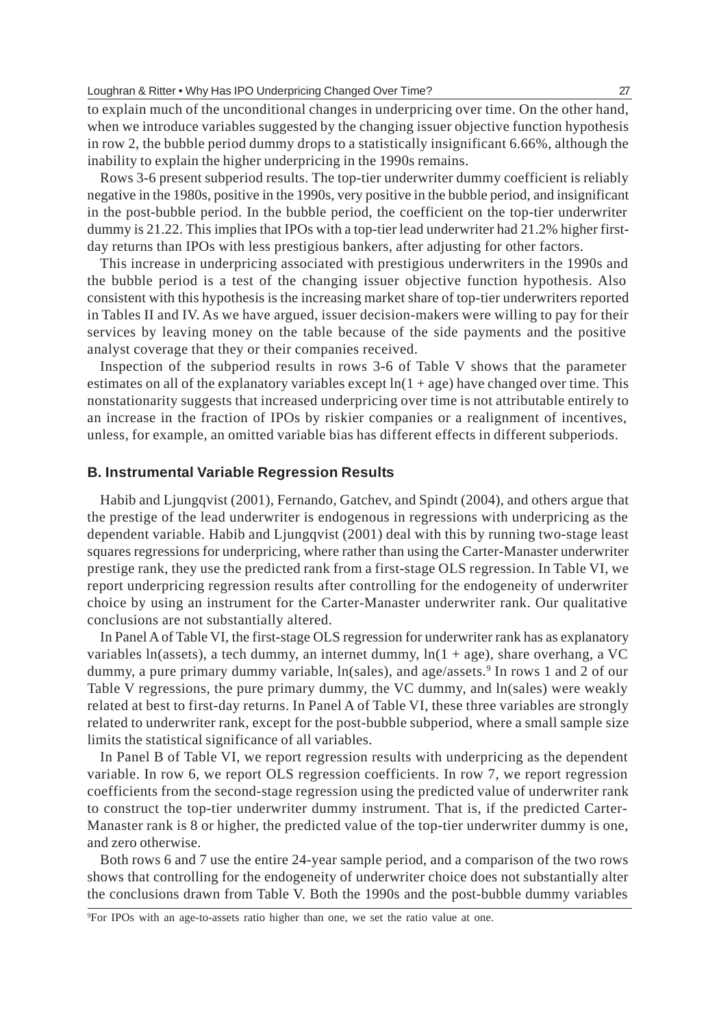to explain much of the unconditional changes in underpricing over time. On the other hand, when we introduce variables suggested by the changing issuer objective function hypothesis in row 2, the bubble period dummy drops to a statistically insignificant 6.66%, although the inability to explain the higher underpricing in the 1990s remains.

Rows 3-6 present subperiod results. The top-tier underwriter dummy coefficient is reliably negative in the 1980s, positive in the 1990s, very positive in the bubble period, and insignificant in the post-bubble period. In the bubble period, the coefficient on the top-tier underwriter dummy is 21.22. This implies that IPOs with a top-tier lead underwriter had 21.2% higher firstday returns than IPOs with less prestigious bankers, after adjusting for other factors.

This increase in underpricing associated with prestigious underwriters in the 1990s and the bubble period is a test of the changing issuer objective function hypothesis. Also consistent with this hypothesis is the increasing market share of top-tier underwriters reported in Tables II and IV. As we have argued, issuer decision-makers were willing to pay for their services by leaving money on the table because of the side payments and the positive analyst coverage that they or their companies received.

Inspection of the subperiod results in rows 3-6 of Table V shows that the parameter estimates on all of the explanatory variables except  $ln(1 + age)$  have changed over time. This nonstationarity suggests that increased underpricing over time is not attributable entirely to an increase in the fraction of IPOs by riskier companies or a realignment of incentives, unless, for example, an omitted variable bias has different effects in different subperiods.

#### **B. Instrumental Variable Regression Results**

Habib and Ljungqvist (2001), Fernando, Gatchev, and Spindt (2004), and others argue that the prestige of the lead underwriter is endogenous in regressions with underpricing as the dependent variable. Habib and Ljungqvist (2001) deal with this by running two-stage least squares regressions for underpricing, where rather than using the Carter-Manaster underwriter prestige rank, they use the predicted rank from a first-stage OLS regression. In Table VI, we report underpricing regression results after controlling for the endogeneity of underwriter choice by using an instrument for the Carter-Manaster underwriter rank. Our qualitative conclusions are not substantially altered.

In Panel A of Table VI, the first-stage OLS regression for underwriter rank has as explanatory variables ln(assets), a tech dummy, an internet dummy,  $ln(1 + age)$ , share overhang, a VC dummy, a pure primary dummy variable, ln(sales), and age/assets.<sup>9</sup> In rows 1 and 2 of our Table V regressions, the pure primary dummy, the VC dummy, and ln(sales) were weakly related at best to first-day returns. In Panel A of Table VI, these three variables are strongly related to underwriter rank, except for the post-bubble subperiod, where a small sample size limits the statistical significance of all variables.

In Panel B of Table VI, we report regression results with underpricing as the dependent variable. In row 6, we report OLS regression coefficients. In row 7, we report regression coefficients from the second-stage regression using the predicted value of underwriter rank to construct the top-tier underwriter dummy instrument. That is, if the predicted Carter-Manaster rank is 8 or higher, the predicted value of the top-tier underwriter dummy is one, and zero otherwise.

Both rows 6 and 7 use the entire 24-year sample period, and a comparison of the two rows shows that controlling for the endogeneity of underwriter choice does not substantially alter the conclusions drawn from Table V. Both the 1990s and the post-bubble dummy variables

9 For IPOs with an age-to-assets ratio higher than one, we set the ratio value at one.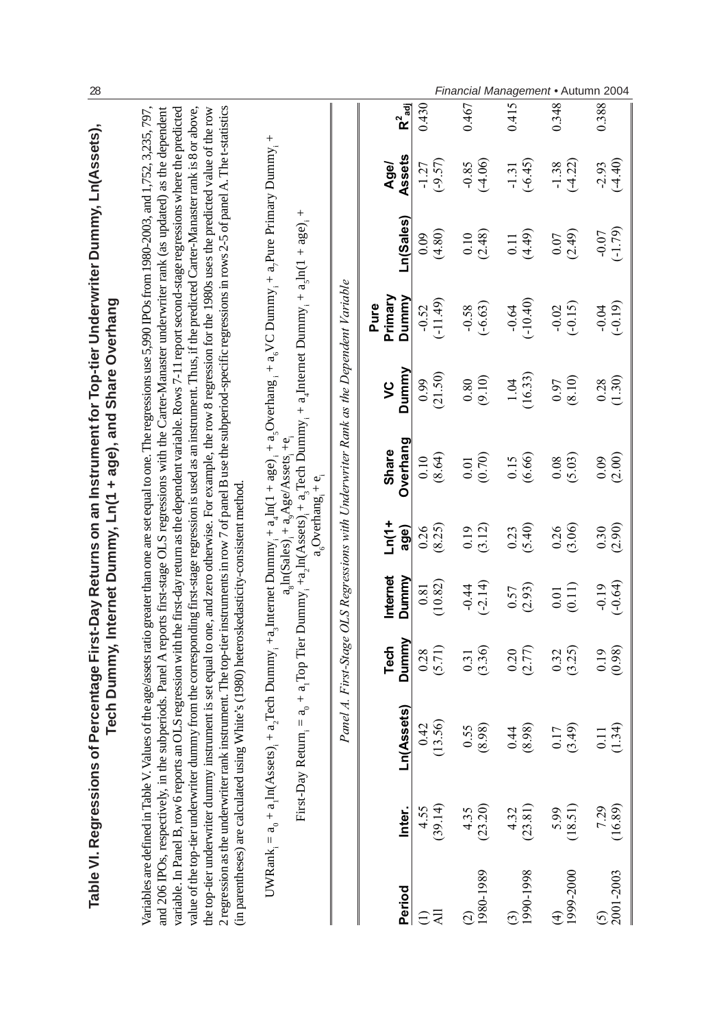|                             | Table VI. Regressions of                                                       |                                                                                                                                                                                                                                                                                                                                                                                                                                                                                                                                                                                                                                                                                                                                                                                                                                                                                                    |                |                                                     |                         | Tech Dummy, Internet Dummy, Ln(1 + age), and Share Overhang                                                                                                                                                                                                                                                                               |                    |                          | Percentage First-Day Returns on an Instrument for Top-tier Underwriter Dummy, Ln(Assets), |                      |                    |
|-----------------------------|--------------------------------------------------------------------------------|----------------------------------------------------------------------------------------------------------------------------------------------------------------------------------------------------------------------------------------------------------------------------------------------------------------------------------------------------------------------------------------------------------------------------------------------------------------------------------------------------------------------------------------------------------------------------------------------------------------------------------------------------------------------------------------------------------------------------------------------------------------------------------------------------------------------------------------------------------------------------------------------------|----------------|-----------------------------------------------------|-------------------------|-------------------------------------------------------------------------------------------------------------------------------------------------------------------------------------------------------------------------------------------------------------------------------------------------------------------------------------------|--------------------|--------------------------|-------------------------------------------------------------------------------------------|----------------------|--------------------|
|                             | and 206 IPOs, respectively, in the su<br>(in parentheses) are calculated using | Variables are defined in Table V. Values of the age/assets ratio greater than one are set equal to one. The regressions use 5,990 IPOs from 1980-2003, and 1,752, 3,235, 797,<br>2 regression as the underwriter rank instrument. The top-tier instruments in row 7 of panel B use the subperiod-specific regressions in rows 2-5 of panel A. The t-statistics<br>variable. In Panel B, row 6 reports an OLS regression with the first-day return as the dependent variable. Rows 7-11 report second-stage regressions where the predicted<br>value of the top-tier underwriter dummy from the corresponding first-stage regression is used as an instrument. Thus, if the predicted Carter-Manaster rank is 8 or above,<br>the top-tier underwriter dummy instrument is set equal to one, and zero otherwise. For example, the row 8 regression for the 1980s uses the predicted value of the row |                | White's (1980) heteroskedasticity-consistent method |                         | bperiods. Panel A reports first-stage OLS regressions with the Carter-Manaster underwriter rank (as updated) as the dependent                                                                                                                                                                                                             |                    |                          |                                                                                           |                      |                    |
|                             | $UWRank_i = a_0 + a_1ln(Assets)$                                               | First-Day Return = $a_0 + a_1$ Top Tier Dummy, + $a_2$ In(Assets), + $a_3$ Tech Dummy, + $a_4$ Internet Dummy, + $a_3$ In(1 + $a$ ge),                                                                                                                                                                                                                                                                                                                                                                                                                                                                                                                                                                                                                                                                                                                                                             |                |                                                     | $a_6$ Overhang, + $e_1$ | + a, Tech Dummy <sub>1</sub> + a, Internet Dummy <sub>1</sub> + a, $2\pi$ a, $\frac{1}{2}$ + a, $\frac{1}{2}$ a, $\frac{1}{2}$ + a, $\frac{1}{2}$ + a, $\frac{1}{2}$ + a, $\frac{1}{2}$ + a, $\frac{1}{2}$ + a, $\frac{1}{2}$ + a, $\frac{1}{2}$ + a, $\frac{1}{2}$ + a, $\frac{1}{2}$ + a, $\$<br>$a_s ln(Sales) + a_s Age/Assets + e_s$ |                    |                          | $^{+}$                                                                                    |                      |                    |
|                             |                                                                                |                                                                                                                                                                                                                                                                                                                                                                                                                                                                                                                                                                                                                                                                                                                                                                                                                                                                                                    |                |                                                     |                         | Panel A. First-Stage OLS Regressions with Underwriter Rank as the Dependent Variable                                                                                                                                                                                                                                                      |                    |                          |                                                                                           |                      |                    |
| Period                      | Inter.                                                                         | Ln(Assets)                                                                                                                                                                                                                                                                                                                                                                                                                                                                                                                                                                                                                                                                                                                                                                                                                                                                                         | Dummy<br>Tech  | Internet<br>Dummy                                   | $\frac{1}{1}$<br>age)   | Overhang<br><b>Share</b>                                                                                                                                                                                                                                                                                                                  | Dummy<br>$\zeta$   | Primary<br>Dummy<br>Pure | Ln(Sales)                                                                                 | Assets<br>Age/       | $R^2_{\text{adj}}$ |
| $\overline{a}$<br>$\ominus$ | (39.14)<br>4.55                                                                | 56)<br>0.42<br>$\frac{3}{2}$                                                                                                                                                                                                                                                                                                                                                                                                                                                                                                                                                                                                                                                                                                                                                                                                                                                                       | (5.71)<br>0.28 | (10.82)<br>0.81                                     | (8.25)<br>0.26          | (8.64)<br>0.10                                                                                                                                                                                                                                                                                                                            | (21.50)<br>0.99    | $(-11.49)$<br>$-0.52$    | (4.80)<br>0.09                                                                            | $(-9.57)$<br>$-1.27$ | 0.430              |
| $\binom{2}{1980-1989}$      | (23.20)<br>4.35                                                                | 98)<br>55.<br>$\infty$                                                                                                                                                                                                                                                                                                                                                                                                                                                                                                                                                                                                                                                                                                                                                                                                                                                                             | (3.36)<br>0.31 | $(-2.14)$<br>$-0.44$                                | (3.12)<br>0.19          | (0.70)<br>$0.01\,$                                                                                                                                                                                                                                                                                                                        | (9.10)<br>$0.80\,$ | $(-6.63)$<br>$-0.58$     | (2.48)<br>0.10                                                                            | $(-4.06)$<br>$-0.85$ | 0.467              |
| 1990-1998<br>ි              | (23.81)<br>4.32                                                                | 98)<br>$\overline{4}$<br>Ö<br>$\infty$                                                                                                                                                                                                                                                                                                                                                                                                                                                                                                                                                                                                                                                                                                                                                                                                                                                             | (2.77)<br>0.20 | (2.93)<br>0.57                                      | (5.40)<br>0.23          | (6.66)<br>0.15                                                                                                                                                                                                                                                                                                                            | (16.33)<br>1.04    | $(-10.40)$<br>$-0.64$    | (4.49)<br>0.11                                                                            | $(-6.45)$<br>$-1.31$ | 0.415              |
| 1999-2000<br>$\widehat{t}$  | (18.51)<br>5.99                                                                | (64)<br>0.17<br>$\tilde{\omega}$                                                                                                                                                                                                                                                                                                                                                                                                                                                                                                                                                                                                                                                                                                                                                                                                                                                                   | (3.25)<br>0.32 | (0.11)<br>0.01                                      | (3.06)<br>0.26          | (5.03)<br>0.08                                                                                                                                                                                                                                                                                                                            | (8.10)<br>0.97     | $(-0.15)$<br>$-0.02$     | (2.49)<br>0.07                                                                            | $(-4.22)$<br>$-1.38$ | 0.348              |
| 2001-2003<br><u>ර</u>       | (16.89)<br>7.29                                                                | .34)<br>Ξ                                                                                                                                                                                                                                                                                                                                                                                                                                                                                                                                                                                                                                                                                                                                                                                                                                                                                          | (0.98)<br>0.19 | $(-0.64)$<br>$-0.19$                                | (2.90)<br>0.30          | (2.00)<br>0.09                                                                                                                                                                                                                                                                                                                            | (1.30)<br>0.28     | $(-0.19)$<br>$-0.04$     | $(-1.79)$<br>$-0.07$                                                                      | $(-4.40)$<br>$-2.93$ | 0.388              |

28 *Financial Management* • Autumn 2004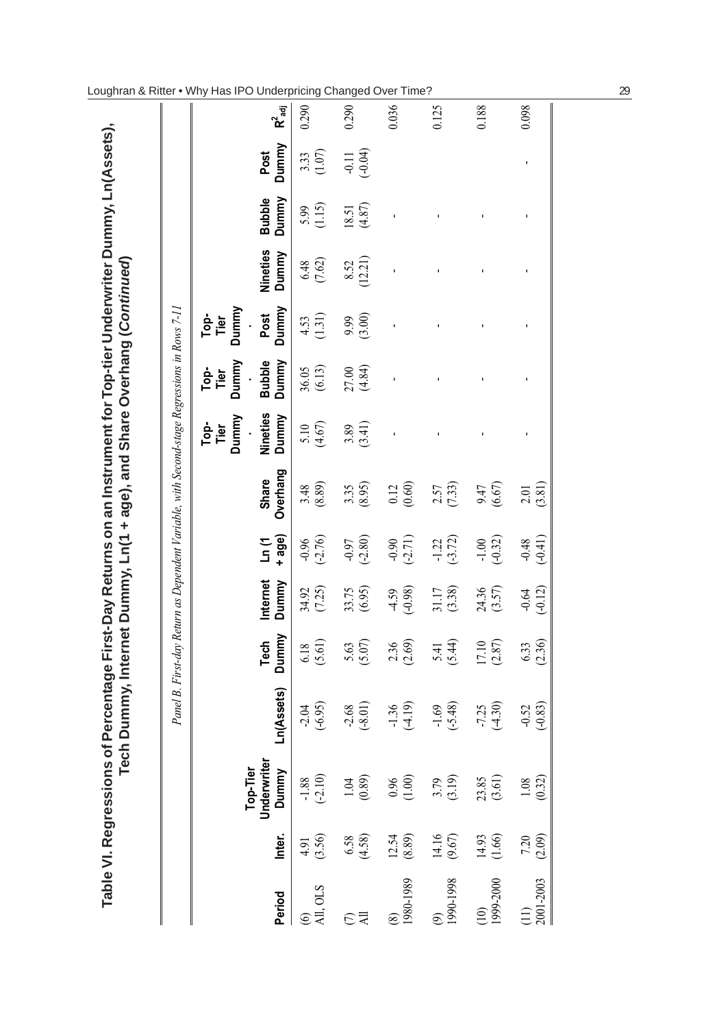|                              |                     |                                  |                      |                     |                      |                      | Panel B. First-day Return as Dependent Variable, with Second-stage Regressions in Rows 7-11 |                                  |                        |                       |                   |                        |                      |           |
|------------------------------|---------------------|----------------------------------|----------------------|---------------------|----------------------|----------------------|---------------------------------------------------------------------------------------------|----------------------------------|------------------------|-----------------------|-------------------|------------------------|----------------------|-----------|
|                              |                     |                                  |                      |                     |                      |                      |                                                                                             | Top-<br>Tier<br>Dummy<br>$\cdot$ | Top-<br>Tier<br>Dummy  | Ter<br>Tier<br>Dummy  |                   |                        |                      |           |
| Period                       | Inter.              | Top-Tier<br>Underwriter<br>Dummy | n(Assets)            | Dummy<br>Tech       | Internet<br>Dummy    | + age)<br>Ln (1      | Overhang<br>Share                                                                           | <b>Nineties</b><br>Dummy         | <b>Bubble</b><br>Dummy | Dummy<br>Post         | Nineties<br>Dummy | <b>Bubble</b><br>Dummy | Post<br>Dummy        | $R^2$ adj |
| All, OLS                     | $4.91$<br>(3.56)    | $-1.88$<br>$(-2.10)$             | $-2.04$<br>$(-6.95)$ | $6.18$<br>(5.61)    | $34.92$<br>(7.25)    | $-0.96$<br>$(-2.76)$ | $3.48$<br>$(8.89)$                                                                          | $5.10$<br>(4.67)                 | $36.05$<br>(6.13)      | $\frac{4.53}{(1.31)}$ | $6.48$ (7.62)     | $5.99$<br>(1.15)       | $3.33$<br>(1.07)     | 0.290     |
| $\Xi$                        | $6.58$<br>(4.58)    | $1.04$<br>$(0.89)$               | $-2.68$<br>$(-8.01)$ | $5.63$<br>(5.07)    | 33.75<br>(6.95)      | $-0.97$<br>$(-2.80)$ | $3.35$<br>$(8.95)$                                                                          | $3.89$<br>$(3.41)$               | 27.00<br>(4.84)        | (3.00)                | $8.52$<br>(12.21) | $18.51$<br>(4.87)      | $-0.11$<br>$(-0.04)$ | 0.290     |
| 1980-1989<br>$\circledS$     | $12.54$<br>$(8.89)$ | $0.96$<br>(1.00)                 | $-1.36$<br>$(-4.19)$ | $2.36$<br>(2.69)    | (4.59)               | $-0.90$<br>$(-2.71)$ | $0.12$<br>$(0.60)$                                                                          |                                  |                        |                       |                   |                        |                      | 0.036     |
| 1990-1998                    | $14.16$<br>(9.67)   | $3.79$<br>(3.19)                 | $-1.69$<br>$(-5.48)$ | $5.41$<br>$(5.44)$  | $31.17$ $(3.38)$     | $-1.22$<br>$(-3.72)$ | $2.57$<br>(7.33)                                                                            |                                  |                        |                       |                   |                        |                      | 0.125     |
| 1999-2000<br>$\overline{10}$ | $14.93$<br>(1.66)   | $23.85$<br>(3.61)                | $-7.25$<br>$(-4.30)$ | $17.10$<br>$(2.87)$ | $24.36$<br>(3.57)    | $-1.00$<br>$(-0.32)$ | (6.67)                                                                                      |                                  |                        |                       |                   |                        |                      | 0.188     |
| 2001-2003                    | $7.20$<br>(2.09)    | $1.08$<br>(0.32)                 | $-0.52$<br>$(-0.83)$ | $6.33$<br>(2.36)    | $-0.64$<br>$(-0.12)$ | $-0.48$<br>$(-0.41)$ | $2.01$<br>$(3.81)$                                                                          |                                  |                        |                       |                   |                        |                      | 0.098     |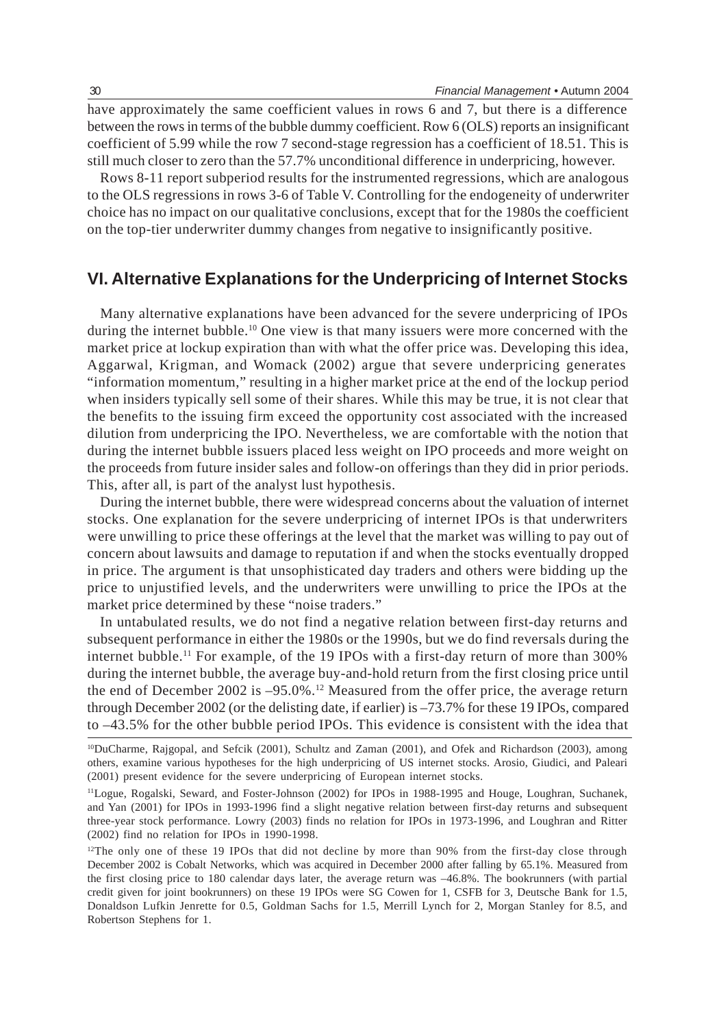have approximately the same coefficient values in rows 6 and 7, but there is a difference between the rows in terms of the bubble dummy coefficient. Row 6 (OLS) reports an insignificant coefficient of 5.99 while the row 7 second-stage regression has a coefficient of 18.51. This is still much closer to zero than the 57.7% unconditional difference in underpricing, however.

Rows 8-11 report subperiod results for the instrumented regressions, which are analogous to the OLS regressions in rows 3-6 of Table V. Controlling for the endogeneity of underwriter choice has no impact on our qualitative conclusions, except that for the 1980s the coefficient on the top-tier underwriter dummy changes from negative to insignificantly positive.

# **VI. Alternative Explanations for the Underpricing of Internet Stocks**

Many alternative explanations have been advanced for the severe underpricing of IPOs during the internet bubble.<sup>10</sup> One view is that many issuers were more concerned with the market price at lockup expiration than with what the offer price was. Developing this idea, Aggarwal, Krigman, and Womack (2002) argue that severe underpricing generates "information momentum," resulting in a higher market price at the end of the lockup period when insiders typically sell some of their shares. While this may be true, it is not clear that the benefits to the issuing firm exceed the opportunity cost associated with the increased dilution from underpricing the IPO. Nevertheless, we are comfortable with the notion that during the internet bubble issuers placed less weight on IPO proceeds and more weight on the proceeds from future insider sales and follow-on offerings than they did in prior periods. This, after all, is part of the analyst lust hypothesis.

During the internet bubble, there were widespread concerns about the valuation of internet stocks. One explanation for the severe underpricing of internet IPOs is that underwriters were unwilling to price these offerings at the level that the market was willing to pay out of concern about lawsuits and damage to reputation if and when the stocks eventually dropped in price. The argument is that unsophisticated day traders and others were bidding up the price to unjustified levels, and the underwriters were unwilling to price the IPOs at the market price determined by these "noise traders."

In untabulated results, we do not find a negative relation between first-day returns and subsequent performance in either the 1980s or the 1990s, but we do find reversals during the internet bubble.<sup>11</sup> For example, of the 19 IPOs with a first-day return of more than 300% during the internet bubble, the average buy-and-hold return from the first closing price until the end of December 2002 is –95.0%.12 Measured from the offer price, the average return through December 2002 (or the delisting date, if earlier) is –73.7% for these 19 IPOs, compared to –43.5% for the other bubble period IPOs. This evidence is consistent with the idea that

<sup>10</sup>DuCharme, Rajgopal, and Sefcik (2001), Schultz and Zaman (2001), and Ofek and Richardson (2003), among others, examine various hypotheses for the high underpricing of US internet stocks. Arosio, Giudici, and Paleari (2001) present evidence for the severe underpricing of European internet stocks.

<sup>11</sup>Logue, Rogalski, Seward, and Foster-Johnson (2002) for IPOs in 1988-1995 and Houge, Loughran, Suchanek, and Yan (2001) for IPOs in 1993-1996 find a slight negative relation between first-day returns and subsequent three-year stock performance. Lowry (2003) finds no relation for IPOs in 1973-1996, and Loughran and Ritter (2002) find no relation for IPOs in 1990-1998.

<sup>&</sup>lt;sup>12</sup>The only one of these 19 IPOs that did not decline by more than 90% from the first-day close through December 2002 is Cobalt Networks, which was acquired in December 2000 after falling by 65.1%. Measured from the first closing price to 180 calendar days later, the average return was –46.8%. The bookrunners (with partial credit given for joint bookrunners) on these 19 IPOs were SG Cowen for 1, CSFB for 3, Deutsche Bank for 1.5, Donaldson Lufkin Jenrette for 0.5, Goldman Sachs for 1.5, Merrill Lynch for 2, Morgan Stanley for 8.5, and Robertson Stephens for 1.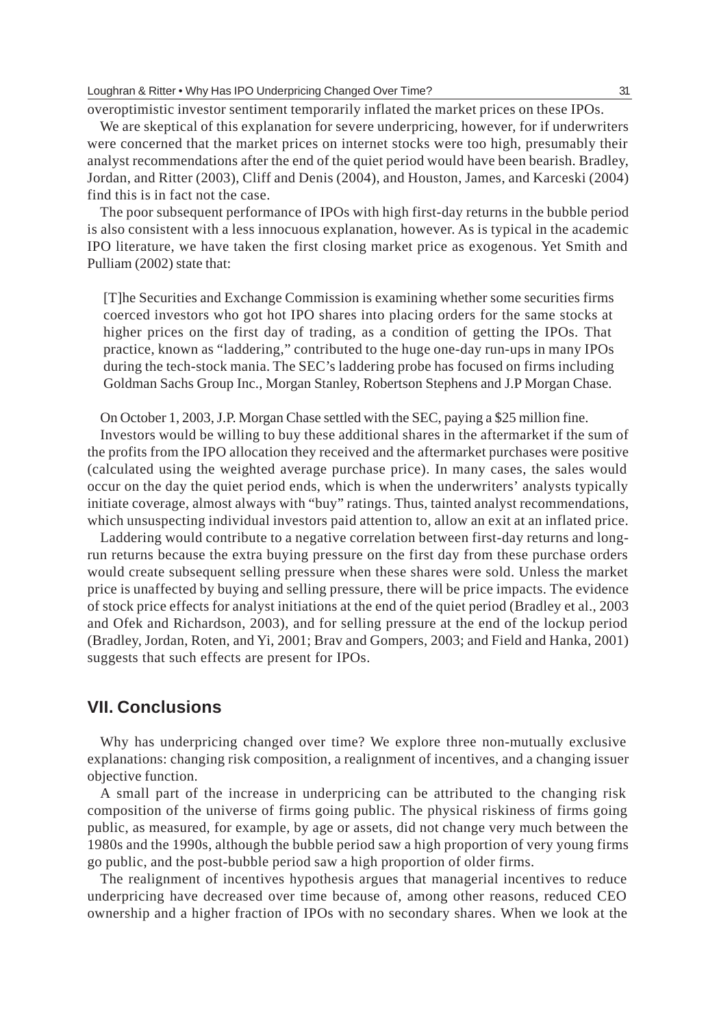overoptimistic investor sentiment temporarily inflated the market prices on these IPOs.

We are skeptical of this explanation for severe underpricing, however, for if underwriters were concerned that the market prices on internet stocks were too high, presumably their analyst recommendations after the end of the quiet period would have been bearish. Bradley, Jordan, and Ritter (2003), Cliff and Denis (2004), and Houston, James, and Karceski (2004) find this is in fact not the case.

The poor subsequent performance of IPOs with high first-day returns in the bubble period is also consistent with a less innocuous explanation, however. As is typical in the academic IPO literature, we have taken the first closing market price as exogenous. Yet Smith and Pulliam (2002) state that:

[T]he Securities and Exchange Commission is examining whether some securities firms coerced investors who got hot IPO shares into placing orders for the same stocks at higher prices on the first day of trading, as a condition of getting the IPOs. That practice, known as "laddering," contributed to the huge one-day run-ups in many IPOs during the tech-stock mania. The SEC's laddering probe has focused on firms including Goldman Sachs Group Inc., Morgan Stanley, Robertson Stephens and J.P Morgan Chase.

On October 1, 2003, J.P. Morgan Chase settled with the SEC, paying a \$25 million fine.

Investors would be willing to buy these additional shares in the aftermarket if the sum of the profits from the IPO allocation they received and the aftermarket purchases were positive (calculated using the weighted average purchase price). In many cases, the sales would occur on the day the quiet period ends, which is when the underwriters' analysts typically initiate coverage, almost always with "buy" ratings. Thus, tainted analyst recommendations, which unsuspecting individual investors paid attention to, allow an exit at an inflated price.

Laddering would contribute to a negative correlation between first-day returns and longrun returns because the extra buying pressure on the first day from these purchase orders would create subsequent selling pressure when these shares were sold. Unless the market price is unaffected by buying and selling pressure, there will be price impacts. The evidence of stock price effects for analyst initiations at the end of the quiet period (Bradley et al., 2003 and Ofek and Richardson, 2003), and for selling pressure at the end of the lockup period (Bradley, Jordan, Roten, and Yi, 2001; Brav and Gompers, 2003; and Field and Hanka, 2001) suggests that such effects are present for IPOs.

# **VII. Conclusions**

Why has underpricing changed over time? We explore three non-mutually exclusive explanations: changing risk composition, a realignment of incentives, and a changing issuer objective function.

A small part of the increase in underpricing can be attributed to the changing risk composition of the universe of firms going public. The physical riskiness of firms going public, as measured, for example, by age or assets, did not change very much between the 1980s and the 1990s, although the bubble period saw a high proportion of very young firms go public, and the post-bubble period saw a high proportion of older firms.

The realignment of incentives hypothesis argues that managerial incentives to reduce underpricing have decreased over time because of, among other reasons, reduced CEO ownership and a higher fraction of IPOs with no secondary shares. When we look at the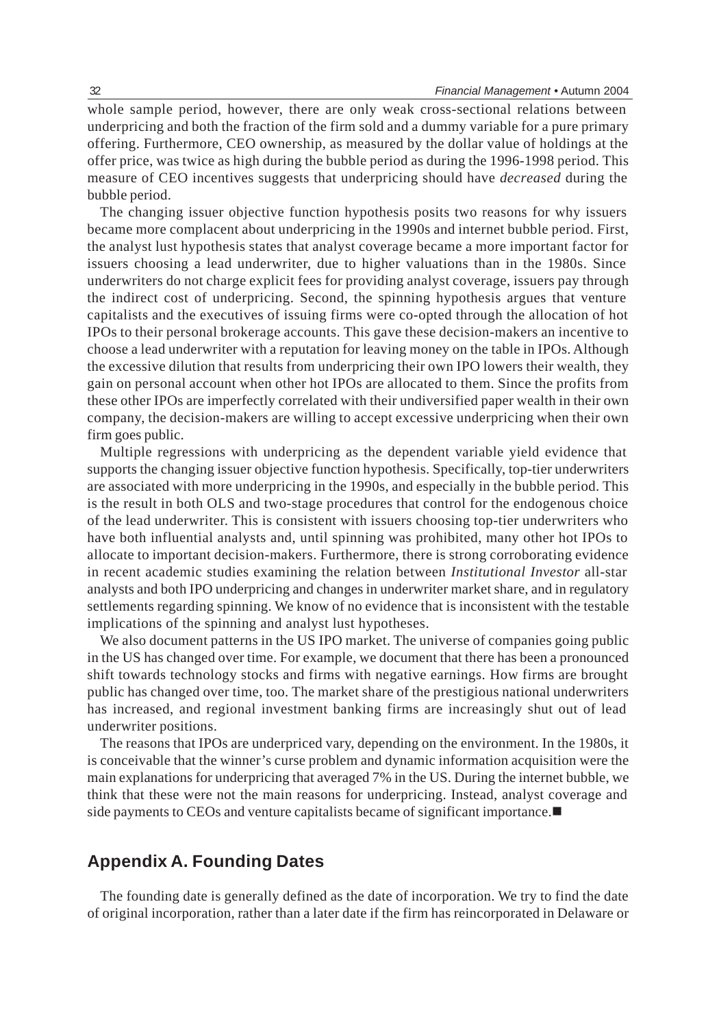whole sample period, however, there are only weak cross-sectional relations between underpricing and both the fraction of the firm sold and a dummy variable for a pure primary offering. Furthermore, CEO ownership, as measured by the dollar value of holdings at the offer price, was twice as high during the bubble period as during the 1996-1998 period. This measure of CEO incentives suggests that underpricing should have *decreased* during the bubble period.

The changing issuer objective function hypothesis posits two reasons for why issuers became more complacent about underpricing in the 1990s and internet bubble period. First, the analyst lust hypothesis states that analyst coverage became a more important factor for issuers choosing a lead underwriter, due to higher valuations than in the 1980s. Since underwriters do not charge explicit fees for providing analyst coverage, issuers pay through the indirect cost of underpricing. Second, the spinning hypothesis argues that venture capitalists and the executives of issuing firms were co-opted through the allocation of hot IPOs to their personal brokerage accounts. This gave these decision-makers an incentive to choose a lead underwriter with a reputation for leaving money on the table in IPOs. Although the excessive dilution that results from underpricing their own IPO lowers their wealth, they gain on personal account when other hot IPOs are allocated to them. Since the profits from these other IPOs are imperfectly correlated with their undiversified paper wealth in their own company, the decision-makers are willing to accept excessive underpricing when their own firm goes public.

Multiple regressions with underpricing as the dependent variable yield evidence that supports the changing issuer objective function hypothesis. Specifically, top-tier underwriters are associated with more underpricing in the 1990s, and especially in the bubble period. This is the result in both OLS and two-stage procedures that control for the endogenous choice of the lead underwriter. This is consistent with issuers choosing top-tier underwriters who have both influential analysts and, until spinning was prohibited, many other hot IPOs to allocate to important decision-makers. Furthermore, there is strong corroborating evidence in recent academic studies examining the relation between *Institutional Investor* all-star analysts and both IPO underpricing and changes in underwriter market share, and in regulatory settlements regarding spinning. We know of no evidence that is inconsistent with the testable implications of the spinning and analyst lust hypotheses.

We also document patterns in the US IPO market. The universe of companies going public in the US has changed over time. For example, we document that there has been a pronounced shift towards technology stocks and firms with negative earnings. How firms are brought public has changed over time, too. The market share of the prestigious national underwriters has increased, and regional investment banking firms are increasingly shut out of lead underwriter positions.

The reasons that IPOs are underpriced vary, depending on the environment. In the 1980s, it is conceivable that the winner's curse problem and dynamic information acquisition were the main explanations for underpricing that averaged 7% in the US. During the internet bubble, we think that these were not the main reasons for underpricing. Instead, analyst coverage and side payments to CEOs and venture capitalists became of significant importance.

# **Appendix A. Founding Dates**

The founding date is generally defined as the date of incorporation. We try to find the date of original incorporation, rather than a later date if the firm has reincorporated in Delaware or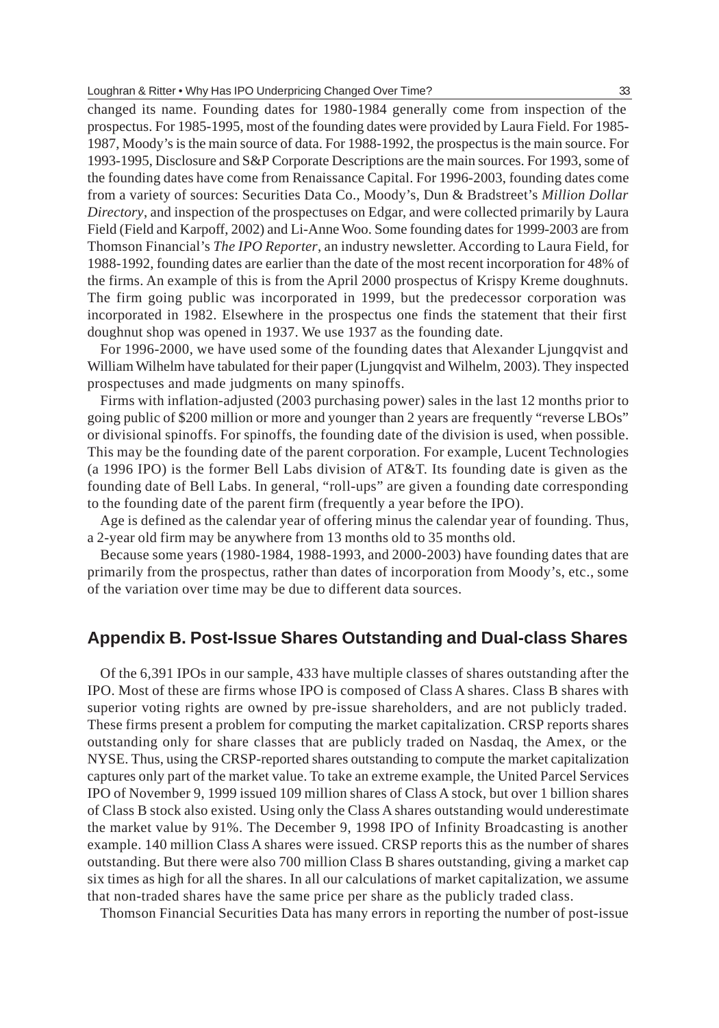changed its name. Founding dates for 1980-1984 generally come from inspection of the prospectus. For 1985-1995, most of the founding dates were provided by Laura Field. For 1985- 1987, Moody's is the main source of data. For 1988-1992, the prospectus is the main source. For 1993-1995, Disclosure and S&P Corporate Descriptions are the main sources. For 1993, some of the founding dates have come from Renaissance Capital. For 1996-2003, founding dates come from a variety of sources: Securities Data Co., Moody's, Dun & Bradstreet's *Million Dollar Directory*, and inspection of the prospectuses on Edgar, and were collected primarily by Laura Field (Field and Karpoff, 2002) and Li-Anne Woo. Some founding dates for 1999-2003 are from Thomson Financial's *The IPO Reporter*, an industry newsletter. According to Laura Field, for 1988-1992, founding dates are earlier than the date of the most recent incorporation for 48% of the firms. An example of this is from the April 2000 prospectus of Krispy Kreme doughnuts. The firm going public was incorporated in 1999, but the predecessor corporation was incorporated in 1982. Elsewhere in the prospectus one finds the statement that their first doughnut shop was opened in 1937. We use 1937 as the founding date.

For 1996-2000, we have used some of the founding dates that Alexander Ljungqvist and William Wilhelm have tabulated for their paper (Ljungqvist and Wilhelm, 2003). They inspected prospectuses and made judgments on many spinoffs.

Firms with inflation-adjusted (2003 purchasing power) sales in the last 12 months prior to going public of \$200 million or more and younger than 2 years are frequently "reverse LBOs" or divisional spinoffs. For spinoffs, the founding date of the division is used, when possible. This may be the founding date of the parent corporation. For example, Lucent Technologies (a 1996 IPO) is the former Bell Labs division of AT&T. Its founding date is given as the founding date of Bell Labs. In general, "roll-ups" are given a founding date corresponding to the founding date of the parent firm (frequently a year before the IPO).

Age is defined as the calendar year of offering minus the calendar year of founding. Thus, a 2-year old firm may be anywhere from 13 months old to 35 months old.

Because some years (1980-1984, 1988-1993, and 2000-2003) have founding dates that are primarily from the prospectus, rather than dates of incorporation from Moody's, etc., some of the variation over time may be due to different data sources.

# **Appendix B. Post-Issue Shares Outstanding and Dual-class Shares**

Of the 6,391 IPOs in our sample, 433 have multiple classes of shares outstanding after the IPO. Most of these are firms whose IPO is composed of Class A shares. Class B shares with superior voting rights are owned by pre-issue shareholders, and are not publicly traded. These firms present a problem for computing the market capitalization. CRSP reports shares outstanding only for share classes that are publicly traded on Nasdaq, the Amex, or the NYSE. Thus, using the CRSP-reported shares outstanding to compute the market capitalization captures only part of the market value. To take an extreme example, the United Parcel Services IPO of November 9, 1999 issued 109 million shares of Class A stock, but over 1 billion shares of Class B stock also existed. Using only the Class A shares outstanding would underestimate the market value by 91%. The December 9, 1998 IPO of Infinity Broadcasting is another example. 140 million Class A shares were issued. CRSP reports this as the number of shares outstanding. But there were also 700 million Class B shares outstanding, giving a market cap six times as high for all the shares. In all our calculations of market capitalization, we assume that non-traded shares have the same price per share as the publicly traded class.

Thomson Financial Securities Data has many errors in reporting the number of post-issue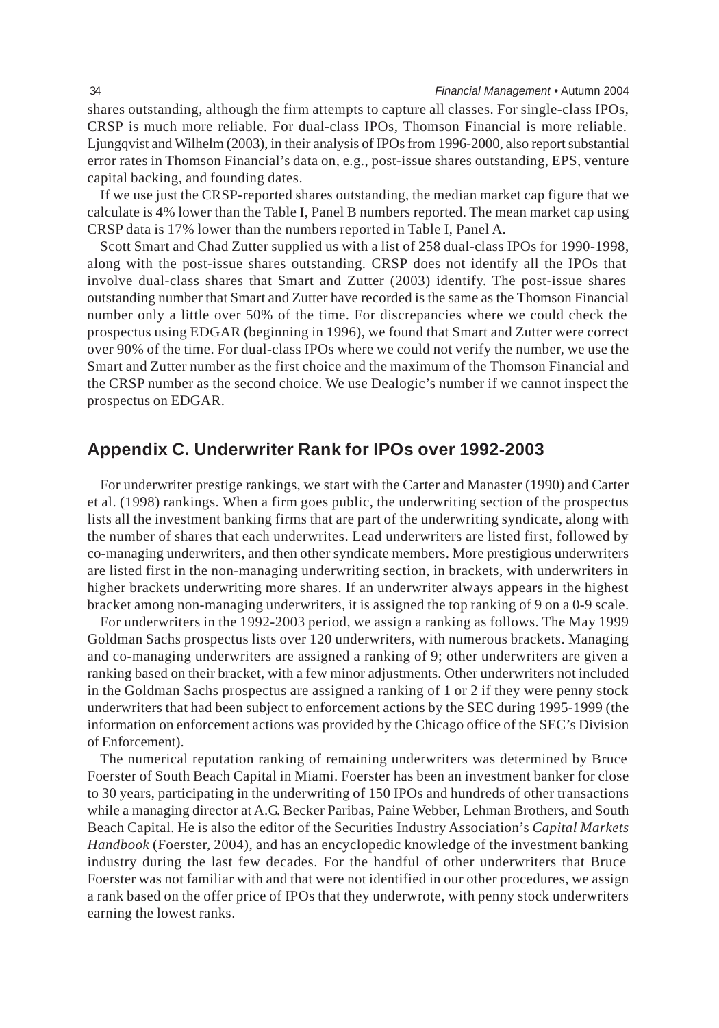shares outstanding, although the firm attempts to capture all classes. For single-class IPOs, CRSP is much more reliable. For dual-class IPOs, Thomson Financial is more reliable. Ljungqvist and Wilhelm (2003), in their analysis of IPOs from 1996-2000, also report substantial error rates in Thomson Financial's data on, e.g., post-issue shares outstanding, EPS, venture capital backing, and founding dates.

If we use just the CRSP-reported shares outstanding, the median market cap figure that we calculate is 4% lower than the Table I, Panel B numbers reported. The mean market cap using CRSP data is 17% lower than the numbers reported in Table I, Panel A.

Scott Smart and Chad Zutter supplied us with a list of 258 dual-class IPOs for 1990-1998, along with the post-issue shares outstanding. CRSP does not identify all the IPOs that involve dual-class shares that Smart and Zutter (2003) identify. The post-issue shares outstanding number that Smart and Zutter have recorded is the same as the Thomson Financial number only a little over 50% of the time. For discrepancies where we could check the prospectus using EDGAR (beginning in 1996), we found that Smart and Zutter were correct over 90% of the time. For dual-class IPOs where we could not verify the number, we use the Smart and Zutter number as the first choice and the maximum of the Thomson Financial and the CRSP number as the second choice. We use Dealogic's number if we cannot inspect the prospectus on EDGAR.

# **Appendix C. Underwriter Rank for IPOs over 1992-2003**

For underwriter prestige rankings, we start with the Carter and Manaster (1990) and Carter et al. (1998) rankings. When a firm goes public, the underwriting section of the prospectus lists all the investment banking firms that are part of the underwriting syndicate, along with the number of shares that each underwrites. Lead underwriters are listed first, followed by co-managing underwriters, and then other syndicate members. More prestigious underwriters are listed first in the non-managing underwriting section, in brackets, with underwriters in higher brackets underwriting more shares. If an underwriter always appears in the highest bracket among non-managing underwriters, it is assigned the top ranking of 9 on a 0-9 scale.

For underwriters in the 1992-2003 period, we assign a ranking as follows. The May 1999 Goldman Sachs prospectus lists over 120 underwriters, with numerous brackets. Managing and co-managing underwriters are assigned a ranking of 9; other underwriters are given a ranking based on their bracket, with a few minor adjustments. Other underwriters not included in the Goldman Sachs prospectus are assigned a ranking of 1 or 2 if they were penny stock underwriters that had been subject to enforcement actions by the SEC during 1995-1999 (the information on enforcement actions was provided by the Chicago office of the SEC's Division of Enforcement).

The numerical reputation ranking of remaining underwriters was determined by Bruce Foerster of South Beach Capital in Miami. Foerster has been an investment banker for close to 30 years, participating in the underwriting of 150 IPOs and hundreds of other transactions while a managing director at A.G. Becker Paribas, Paine Webber, Lehman Brothers, and South Beach Capital. He is also the editor of the Securities Industry Association's *Capital Markets Handbook* (Foerster, 2004), and has an encyclopedic knowledge of the investment banking industry during the last few decades. For the handful of other underwriters that Bruce Foerster was not familiar with and that were not identified in our other procedures, we assign a rank based on the offer price of IPOs that they underwrote, with penny stock underwriters earning the lowest ranks.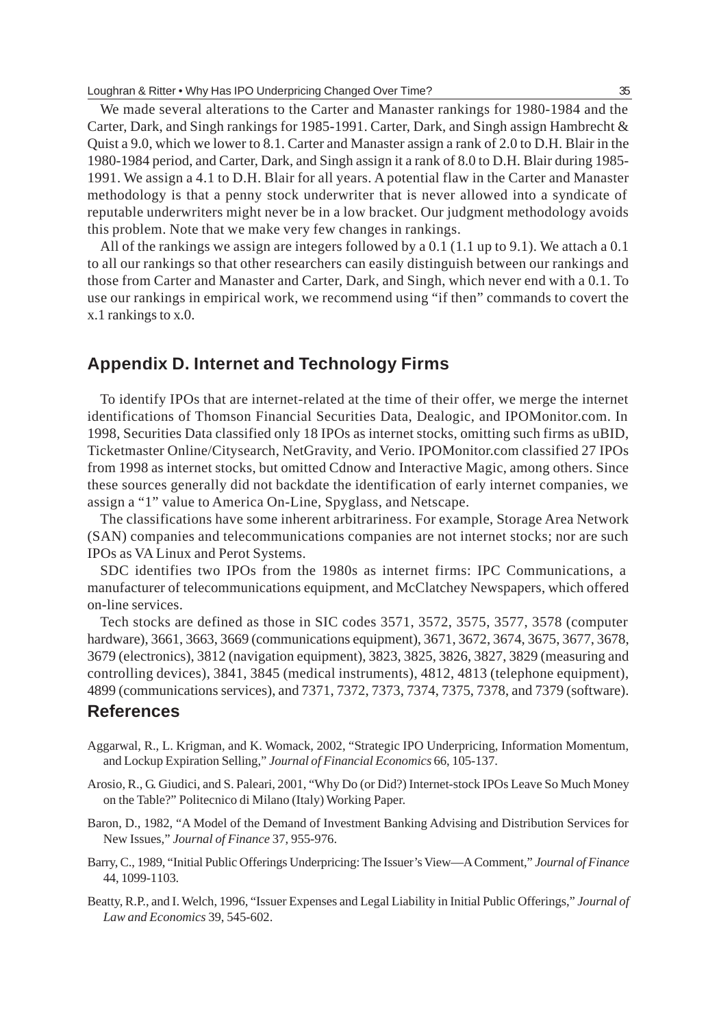We made several alterations to the Carter and Manaster rankings for 1980-1984 and the Carter, Dark, and Singh rankings for 1985-1991. Carter, Dark, and Singh assign Hambrecht & Quist a 9.0, which we lower to 8.1. Carter and Manaster assign a rank of 2.0 to D.H. Blair in the 1980-1984 period, and Carter, Dark, and Singh assign it a rank of 8.0 to D.H. Blair during 1985- 1991. We assign a 4.1 to D.H. Blair for all years. A potential flaw in the Carter and Manaster methodology is that a penny stock underwriter that is never allowed into a syndicate of reputable underwriters might never be in a low bracket. Our judgment methodology avoids this problem. Note that we make very few changes in rankings.

All of the rankings we assign are integers followed by a 0.1 (1.1 up to 9.1). We attach a 0.1 to all our rankings so that other researchers can easily distinguish between our rankings and those from Carter and Manaster and Carter, Dark, and Singh, which never end with a 0.1. To use our rankings in empirical work, we recommend using "if then" commands to covert the x.1 rankings to x.0.

# **Appendix D. Internet and Technology Firms**

To identify IPOs that are internet-related at the time of their offer, we merge the internet identifications of Thomson Financial Securities Data, Dealogic, and IPOMonitor.com. In 1998, Securities Data classified only 18 IPOs as internet stocks, omitting such firms as uBID, Ticketmaster Online/Citysearch, NetGravity, and Verio. IPOMonitor.com classified 27 IPOs from 1998 as internet stocks, but omitted Cdnow and Interactive Magic, among others. Since these sources generally did not backdate the identification of early internet companies, we assign a "1" value to America On-Line, Spyglass, and Netscape.

The classifications have some inherent arbitrariness. For example, Storage Area Network (SAN) companies and telecommunications companies are not internet stocks; nor are such IPOs as VA Linux and Perot Systems.

SDC identifies two IPOs from the 1980s as internet firms: IPC Communications, a manufacturer of telecommunications equipment, and McClatchey Newspapers, which offered on-line services.

Tech stocks are defined as those in SIC codes 3571, 3572, 3575, 3577, 3578 (computer hardware), 3661, 3663, 3669 (communications equipment), 3671, 3672, 3674, 3675, 3677, 3678, 3679 (electronics), 3812 (navigation equipment), 3823, 3825, 3826, 3827, 3829 (measuring and controlling devices), 3841, 3845 (medical instruments), 4812, 4813 (telephone equipment), 4899 (communications services), and 7371, 7372, 7373, 7374, 7375, 7378, and 7379 (software).

## **References**

- Aggarwal, R., L. Krigman, and K. Womack, 2002, "Strategic IPO Underpricing, Information Momentum, and Lockup Expiration Selling," *Journal of Financial Economics* 66, 105-137.
- Arosio, R., G. Giudici, and S. Paleari, 2001, "Why Do (or Did?) Internet-stock IPOs Leave So Much Money on the Table?" Politecnico di Milano (Italy) Working Paper.
- Baron, D., 1982, "A Model of the Demand of Investment Banking Advising and Distribution Services for New Issues," *Journal of Finance* 37, 955-976.
- Barry, C., 1989, "Initial Public Offerings Underpricing: The Issuer's View—A Comment," *Journal of Finance* 44, 1099-1103.
- Beatty, R.P., and I. Welch, 1996, "Issuer Expenses and Legal Liability in Initial Public Offerings," *Journal of Law and Economics* 39, 545-602.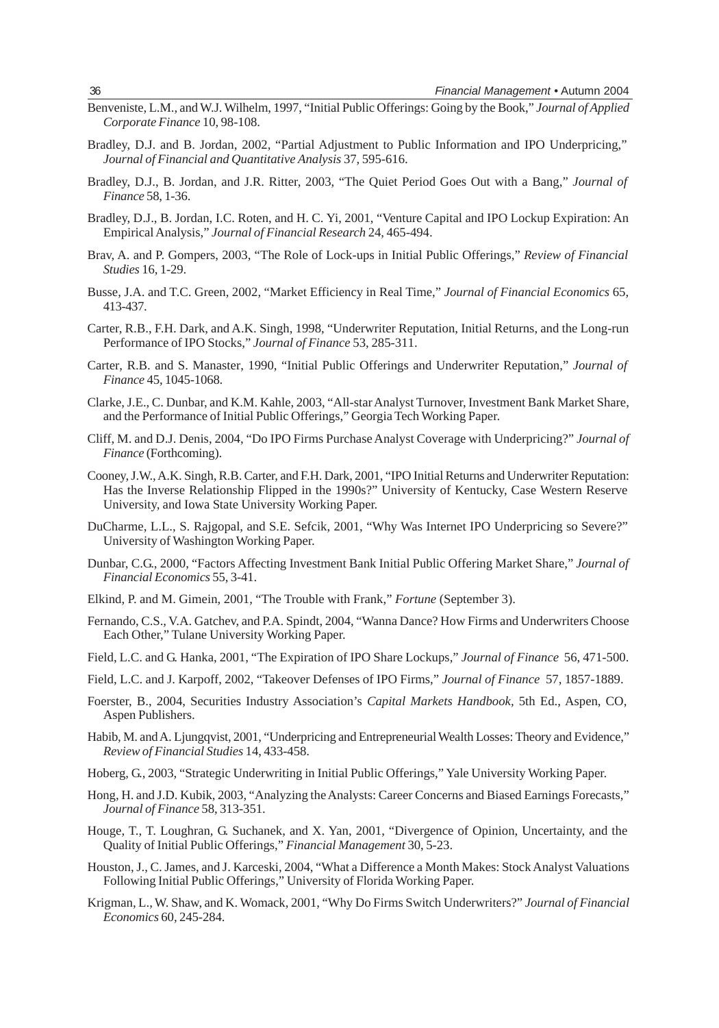- Benveniste, L.M., and W.J. Wilhelm, 1997, "Initial Public Offerings: Going by the Book," *Journal of Applied Corporate Finance* 10, 98-108.
- Bradley, D.J. and B. Jordan, 2002, "Partial Adjustment to Public Information and IPO Underpricing," *Journal of Financial and Quantitative Analysis* 37, 595-616.
- Bradley, D.J., B. Jordan, and J.R. Ritter, 2003, "The Quiet Period Goes Out with a Bang," *Journal of Finance* 58, 1-36.
- Bradley, D.J., B. Jordan, I.C. Roten, and H. C. Yi, 2001, "Venture Capital and IPO Lockup Expiration: An Empirical Analysis," *Journal of Financial Research* 24, 465-494.
- Brav, A. and P. Gompers, 2003, "The Role of Lock-ups in Initial Public Offerings," *Review of Financial Studies* 16, 1-29.
- Busse, J.A. and T.C. Green, 2002, "Market Efficiency in Real Time," *Journal of Financial Economics* 65, 413-437.
- Carter, R.B., F.H. Dark, and A.K. Singh, 1998, "Underwriter Reputation, Initial Returns, and the Long-run Performance of IPO Stocks," *Journal of Finance* 53, 285-311.
- Carter, R.B. and S. Manaster, 1990, "Initial Public Offerings and Underwriter Reputation," *Journal of Finance* 45, 1045-1068.
- Clarke, J.E., C. Dunbar, and K.M. Kahle, 2003, "All-star Analyst Turnover, Investment Bank Market Share, and the Performance of Initial Public Offerings," Georgia Tech Working Paper.
- Cliff, M. and D.J. Denis, 2004, "Do IPO Firms Purchase Analyst Coverage with Underpricing?" *Journal of Finance* (Forthcoming).
- Cooney, J.W., A.K. Singh, R.B. Carter, and F.H. Dark, 2001, "IPO Initial Returns and Underwriter Reputation: Has the Inverse Relationship Flipped in the 1990s?" University of Kentucky, Case Western Reserve University, and Iowa State University Working Paper.
- DuCharme, L.L., S. Rajgopal, and S.E. Sefcik, 2001, "Why Was Internet IPO Underpricing so Severe?" University of Washington Working Paper.
- Dunbar, C.G., 2000, "Factors Affecting Investment Bank Initial Public Offering Market Share," *Journal of Financial Economics* 55, 3-41.
- Elkind, P. and M. Gimein, 2001, "The Trouble with Frank," *Fortune* (September 3).
- Fernando, C.S., V.A. Gatchev, and P.A. Spindt, 2004, "Wanna Dance? How Firms and Underwriters Choose Each Other," Tulane University Working Paper.
- Field, L.C. and G. Hanka, 2001, "The Expiration of IPO Share Lockups," *Journal of Finance* 56, 471-500.
- Field, L.C. and J. Karpoff, 2002, "Takeover Defenses of IPO Firms," *Journal of Finance* 57, 1857-1889.
- Foerster, B., 2004, Securities Industry Association's *Capital Markets Handbook,* 5th Ed., Aspen, CO, Aspen Publishers.
- Habib, M. and A. Ljungqvist, 2001, "Underpricing and Entrepreneurial Wealth Losses: Theory and Evidence," *Review of Financial Studies* 14, 433-458.
- Hoberg, G., 2003, "Strategic Underwriting in Initial Public Offerings," Yale University Working Paper.
- Hong, H. and J.D. Kubik, 2003, "Analyzing the Analysts: Career Concerns and Biased Earnings Forecasts," *Journal of Finance* 58, 313-351.
- Houge, T., T. Loughran, G. Suchanek, and X. Yan, 2001, "Divergence of Opinion, Uncertainty, and the Quality of Initial Public Offerings," *Financial Management* 30, 5-23.
- Houston, J., C. James, and J. Karceski, 2004, "What a Difference a Month Makes: Stock Analyst Valuations Following Initial Public Offerings," University of Florida Working Paper.
- Krigman, L., W. Shaw, and K. Womack, 2001, "Why Do Firms Switch Underwriters?" *Journal of Financial Economics* 60, 245-284.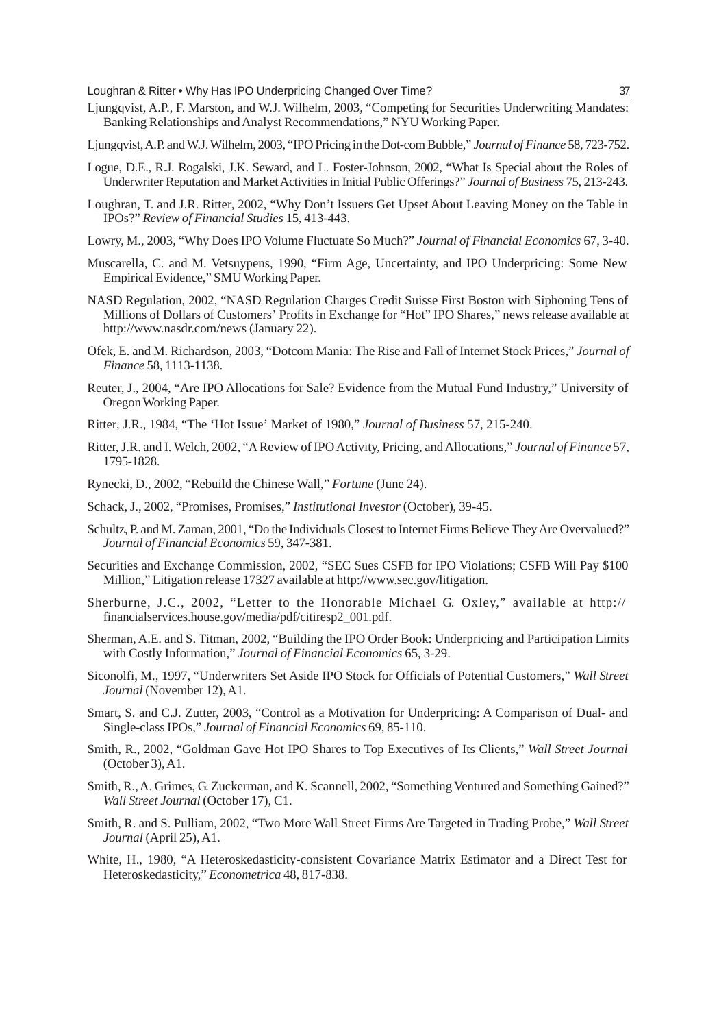- Ljungqvist, A.P., F. Marston, and W.J. Wilhelm, 2003, "Competing for Securities Underwriting Mandates: Banking Relationships and Analyst Recommendations," NYU Working Paper.
- Ljungqvist, A.P. and W.J. Wilhelm, 2003, "IPO Pricing in the Dot-com Bubble," *Journal of Finance* 58, 723-752.
- Logue, D.E., R.J. Rogalski, J.K. Seward, and L. Foster-Johnson, 2002, "What Is Special about the Roles of Underwriter Reputation and Market Activities in Initial Public Offerings?" *Journal of Business* 75, 213-243.
- Loughran, T. and J.R. Ritter, 2002, "Why Don't Issuers Get Upset About Leaving Money on the Table in IPOs?" *Review of Financial Studies* 15, 413-443.
- Lowry, M., 2003, "Why Does IPO Volume Fluctuate So Much?" *Journal of Financial Economics* 67, 3-40.
- Muscarella, C. and M. Vetsuypens, 1990, "Firm Age, Uncertainty, and IPO Underpricing: Some New Empirical Evidence," SMU Working Paper.
- NASD Regulation, 2002, "NASD Regulation Charges Credit Suisse First Boston with Siphoning Tens of Millions of Dollars of Customers' Profits in Exchange for "Hot" IPO Shares," news release available at http://www.nasdr.com/news (January 22).
- Ofek, E. and M. Richardson, 2003, "Dotcom Mania: The Rise and Fall of Internet Stock Prices," *Journal of Finance* 58, 1113-1138.
- Reuter, J., 2004, "Are IPO Allocations for Sale? Evidence from the Mutual Fund Industry," University of Oregon Working Paper.
- Ritter, J.R., 1984, "The 'Hot Issue' Market of 1980," *Journal of Business* 57, 215-240.
- Ritter, J.R. and I. Welch, 2002, "A Review of IPO Activity, Pricing, and Allocations," *Journal of Finance* 57, 1795-1828.
- Rynecki, D., 2002, "Rebuild the Chinese Wall," *Fortune* (June 24).
- Schack, J., 2002, "Promises, Promises," *Institutional Investor* (October), 39-45.
- Schultz, P. and M. Zaman, 2001, "Do the Individuals Closest to Internet Firms Believe They Are Overvalued?" *Journal of Financial Economics* 59, 347-381.
- Securities and Exchange Commission, 2002, "SEC Sues CSFB for IPO Violations; CSFB Will Pay \$100 Million," Litigation release 17327 available at http://www.sec.gov/litigation.
- Sherburne, J.C., 2002, "Letter to the Honorable Michael G. Oxley," available at http:// financialservices.house.gov/media/pdf/citiresp2\_001.pdf.
- Sherman, A.E. and S. Titman, 2002, "Building the IPO Order Book: Underpricing and Participation Limits with Costly Information," *Journal of Financial Economics* 65, 3-29.
- Siconolfi, M., 1997, "Underwriters Set Aside IPO Stock for Officials of Potential Customers," *Wall Street Journal* (November 12), A1.
- Smart, S. and C.J. Zutter, 2003, "Control as a Motivation for Underpricing: A Comparison of Dual- and Single-class IPOs," *Journal of Financial Economics* 69, 85-110.
- Smith, R., 2002, "Goldman Gave Hot IPO Shares to Top Executives of Its Clients," *Wall Street Journal* (October 3), A1.
- Smith, R., A. Grimes, G. Zuckerman, and K. Scannell, 2002, "Something Ventured and Something Gained?" *Wall Street Journal* (October 17), C1.
- Smith, R. and S. Pulliam, 2002, "Two More Wall Street Firms Are Targeted in Trading Probe," *Wall Street Journal* (April 25), A1.
- White, H., 1980, "A Heteroskedasticity-consistent Covariance Matrix Estimator and a Direct Test for Heteroskedasticity," *Econometrica* 48, 817-838.